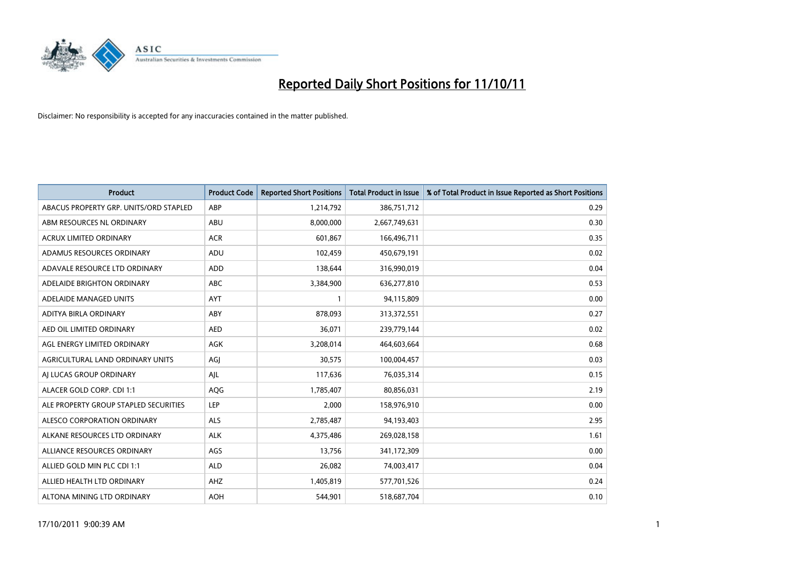

| <b>Product</b>                         | <b>Product Code</b> | <b>Reported Short Positions</b> | <b>Total Product in Issue</b> | % of Total Product in Issue Reported as Short Positions |
|----------------------------------------|---------------------|---------------------------------|-------------------------------|---------------------------------------------------------|
| ABACUS PROPERTY GRP. UNITS/ORD STAPLED | ABP                 | 1,214,792                       | 386,751,712                   | 0.29                                                    |
| ABM RESOURCES NL ORDINARY              | ABU                 | 8,000,000                       | 2,667,749,631                 | 0.30                                                    |
| <b>ACRUX LIMITED ORDINARY</b>          | <b>ACR</b>          | 601,867                         | 166,496,711                   | 0.35                                                    |
| ADAMUS RESOURCES ORDINARY              | ADU                 | 102,459                         | 450,679,191                   | 0.02                                                    |
| ADAVALE RESOURCE LTD ORDINARY          | ADD                 | 138.644                         | 316,990,019                   | 0.04                                                    |
| ADELAIDE BRIGHTON ORDINARY             | <b>ABC</b>          | 3,384,900                       | 636,277,810                   | 0.53                                                    |
| ADELAIDE MANAGED UNITS                 | <b>AYT</b>          |                                 | 94,115,809                    | 0.00                                                    |
| ADITYA BIRLA ORDINARY                  | ABY                 | 878,093                         | 313,372,551                   | 0.27                                                    |
| AED OIL LIMITED ORDINARY               | <b>AED</b>          | 36,071                          | 239,779,144                   | 0.02                                                    |
| AGL ENERGY LIMITED ORDINARY            | <b>AGK</b>          | 3,208,014                       | 464,603,664                   | 0.68                                                    |
| AGRICULTURAL LAND ORDINARY UNITS       | AGJ                 | 30,575                          | 100,004,457                   | 0.03                                                    |
| AI LUCAS GROUP ORDINARY                | AJL                 | 117,636                         | 76,035,314                    | 0.15                                                    |
| ALACER GOLD CORP. CDI 1:1              | AQG                 | 1,785,407                       | 80,856,031                    | 2.19                                                    |
| ALE PROPERTY GROUP STAPLED SECURITIES  | LEP                 | 2.000                           | 158,976,910                   | 0.00                                                    |
| ALESCO CORPORATION ORDINARY            | ALS                 | 2,785,487                       | 94,193,403                    | 2.95                                                    |
| ALKANE RESOURCES LTD ORDINARY          | <b>ALK</b>          | 4,375,486                       | 269,028,158                   | 1.61                                                    |
| ALLIANCE RESOURCES ORDINARY            | AGS                 | 13,756                          | 341,172,309                   | 0.00                                                    |
| ALLIED GOLD MIN PLC CDI 1:1            | <b>ALD</b>          | 26,082                          | 74,003,417                    | 0.04                                                    |
| ALLIED HEALTH LTD ORDINARY             | AHZ                 | 1,405,819                       | 577,701,526                   | 0.24                                                    |
| ALTONA MINING LTD ORDINARY             | <b>AOH</b>          | 544.901                         | 518,687,704                   | 0.10                                                    |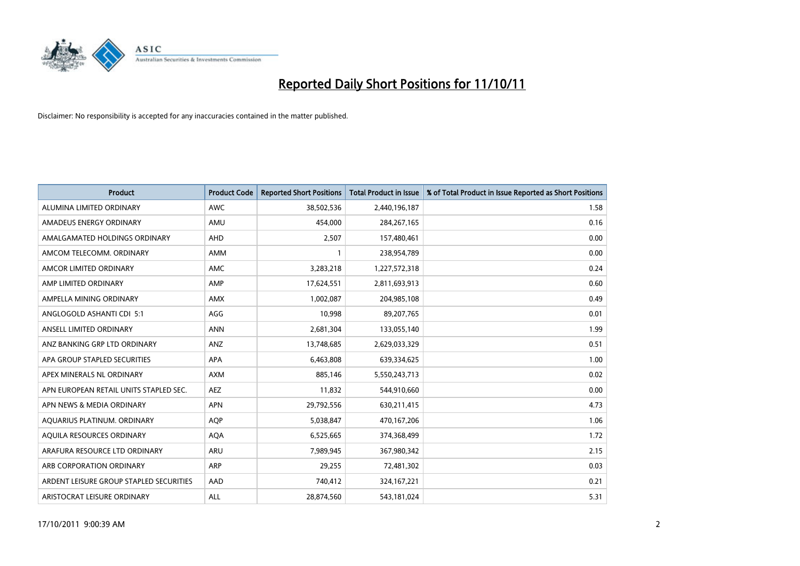

| <b>Product</b>                          | <b>Product Code</b> | <b>Reported Short Positions</b> | <b>Total Product in Issue</b> | % of Total Product in Issue Reported as Short Positions |
|-----------------------------------------|---------------------|---------------------------------|-------------------------------|---------------------------------------------------------|
| ALUMINA LIMITED ORDINARY                | <b>AWC</b>          | 38,502,536                      | 2,440,196,187                 | 1.58                                                    |
| AMADEUS ENERGY ORDINARY                 | AMU                 | 454,000                         | 284, 267, 165                 | 0.16                                                    |
| AMALGAMATED HOLDINGS ORDINARY           | <b>AHD</b>          | 2,507                           | 157,480,461                   | 0.00                                                    |
| AMCOM TELECOMM. ORDINARY                | <b>AMM</b>          |                                 | 238,954,789                   | 0.00                                                    |
| AMCOR LIMITED ORDINARY                  | <b>AMC</b>          | 3,283,218                       | 1,227,572,318                 | 0.24                                                    |
| AMP LIMITED ORDINARY                    | AMP                 | 17,624,551                      | 2,811,693,913                 | 0.60                                                    |
| AMPELLA MINING ORDINARY                 | <b>AMX</b>          | 1,002,087                       | 204,985,108                   | 0.49                                                    |
| ANGLOGOLD ASHANTI CDI 5:1               | AGG                 | 10,998                          | 89,207,765                    | 0.01                                                    |
| ANSELL LIMITED ORDINARY                 | <b>ANN</b>          | 2,681,304                       | 133,055,140                   | 1.99                                                    |
| ANZ BANKING GRP LTD ORDINARY            | ANZ                 | 13,748,685                      | 2,629,033,329                 | 0.51                                                    |
| APA GROUP STAPLED SECURITIES            | <b>APA</b>          | 6,463,808                       | 639,334,625                   | 1.00                                                    |
| APEX MINERALS NL ORDINARY               | <b>AXM</b>          | 885.146                         | 5,550,243,713                 | 0.02                                                    |
| APN EUROPEAN RETAIL UNITS STAPLED SEC.  | <b>AEZ</b>          | 11,832                          | 544,910,660                   | 0.00                                                    |
| APN NEWS & MEDIA ORDINARY               | <b>APN</b>          | 29,792,556                      | 630,211,415                   | 4.73                                                    |
| AQUARIUS PLATINUM. ORDINARY             | <b>AOP</b>          | 5,038,847                       | 470,167,206                   | 1.06                                                    |
| AQUILA RESOURCES ORDINARY               | <b>AQA</b>          | 6,525,665                       | 374,368,499                   | 1.72                                                    |
| ARAFURA RESOURCE LTD ORDINARY           | <b>ARU</b>          | 7,989,945                       | 367,980,342                   | 2.15                                                    |
| ARB CORPORATION ORDINARY                | <b>ARP</b>          | 29,255                          | 72,481,302                    | 0.03                                                    |
| ARDENT LEISURE GROUP STAPLED SECURITIES | AAD                 | 740,412                         | 324, 167, 221                 | 0.21                                                    |
| ARISTOCRAT LEISURE ORDINARY             | <b>ALL</b>          | 28,874,560                      | 543,181,024                   | 5.31                                                    |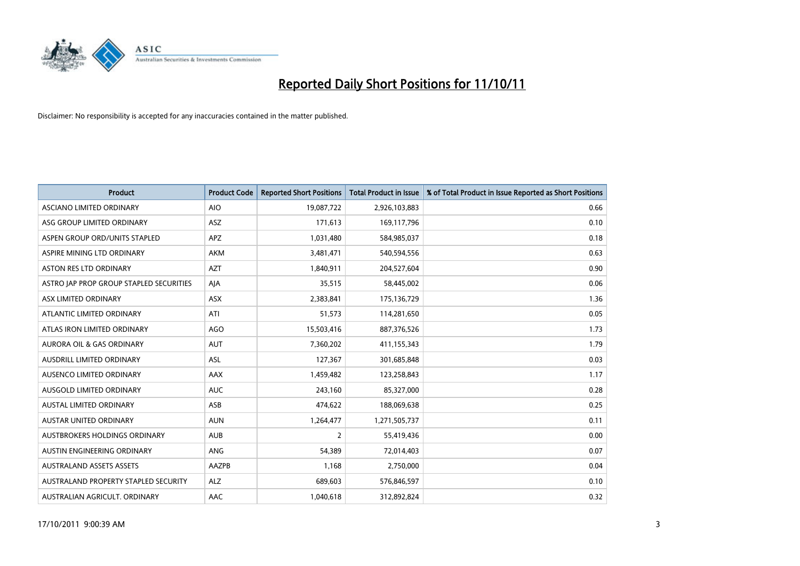

| <b>Product</b>                          | <b>Product Code</b> | <b>Reported Short Positions</b> | <b>Total Product in Issue</b> | % of Total Product in Issue Reported as Short Positions |
|-----------------------------------------|---------------------|---------------------------------|-------------------------------|---------------------------------------------------------|
| <b>ASCIANO LIMITED ORDINARY</b>         | <b>AIO</b>          | 19,087,722                      | 2,926,103,883                 | 0.66                                                    |
| ASG GROUP LIMITED ORDINARY              | <b>ASZ</b>          | 171,613                         | 169,117,796                   | 0.10                                                    |
| ASPEN GROUP ORD/UNITS STAPLED           | APZ                 | 1,031,480                       | 584,985,037                   | 0.18                                                    |
| ASPIRE MINING LTD ORDINARY              | <b>AKM</b>          | 3,481,471                       | 540,594,556                   | 0.63                                                    |
| <b>ASTON RES LTD ORDINARY</b>           | <b>AZT</b>          | 1,840,911                       | 204,527,604                   | 0.90                                                    |
| ASTRO JAP PROP GROUP STAPLED SECURITIES | AIA                 | 35,515                          | 58,445,002                    | 0.06                                                    |
| ASX LIMITED ORDINARY                    | <b>ASX</b>          | 2,383,841                       | 175,136,729                   | 1.36                                                    |
| ATLANTIC LIMITED ORDINARY               | ATI                 | 51,573                          | 114,281,650                   | 0.05                                                    |
| ATLAS IRON LIMITED ORDINARY             | <b>AGO</b>          | 15,503,416                      | 887,376,526                   | 1.73                                                    |
| <b>AURORA OIL &amp; GAS ORDINARY</b>    | <b>AUT</b>          | 7,360,202                       | 411,155,343                   | 1.79                                                    |
| AUSDRILL LIMITED ORDINARY               | ASL                 | 127,367                         | 301,685,848                   | 0.03                                                    |
| <b>AUSENCO LIMITED ORDINARY</b>         | AAX                 | 1,459,482                       | 123,258,843                   | 1.17                                                    |
| AUSGOLD LIMITED ORDINARY                | <b>AUC</b>          | 243,160                         | 85,327,000                    | 0.28                                                    |
| <b>AUSTAL LIMITED ORDINARY</b>          | ASB                 | 474,622                         | 188,069,638                   | 0.25                                                    |
| <b>AUSTAR UNITED ORDINARY</b>           | <b>AUN</b>          | 1,264,477                       | 1,271,505,737                 | 0.11                                                    |
| AUSTBROKERS HOLDINGS ORDINARY           | <b>AUB</b>          | 2                               | 55,419,436                    | 0.00                                                    |
| AUSTIN ENGINEERING ORDINARY             | ANG                 | 54,389                          | 72,014,403                    | 0.07                                                    |
| <b>AUSTRALAND ASSETS ASSETS</b>         | AAZPB               | 1,168                           | 2,750,000                     | 0.04                                                    |
| AUSTRALAND PROPERTY STAPLED SECURITY    | <b>ALZ</b>          | 689,603                         | 576,846,597                   | 0.10                                                    |
| AUSTRALIAN AGRICULT. ORDINARY           | AAC                 | 1,040,618                       | 312,892,824                   | 0.32                                                    |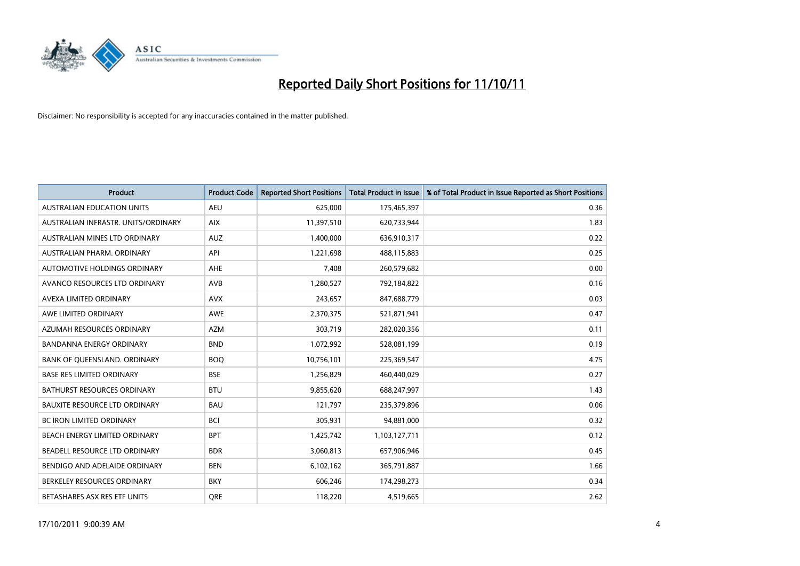

| <b>Product</b>                       | <b>Product Code</b> | <b>Reported Short Positions</b> | Total Product in Issue | % of Total Product in Issue Reported as Short Positions |
|--------------------------------------|---------------------|---------------------------------|------------------------|---------------------------------------------------------|
| <b>AUSTRALIAN EDUCATION UNITS</b>    | <b>AEU</b>          | 625,000                         | 175,465,397            | 0.36                                                    |
| AUSTRALIAN INFRASTR, UNITS/ORDINARY  | <b>AIX</b>          | 11,397,510                      | 620,733,944            | 1.83                                                    |
| AUSTRALIAN MINES LTD ORDINARY        | <b>AUZ</b>          | 1,400,000                       | 636,910,317            | 0.22                                                    |
| AUSTRALIAN PHARM, ORDINARY           | API                 | 1,221,698                       | 488,115,883            | 0.25                                                    |
| AUTOMOTIVE HOLDINGS ORDINARY         | AHE                 | 7,408                           | 260,579,682            | 0.00                                                    |
| AVANCO RESOURCES LTD ORDINARY        | AVB                 | 1,280,527                       | 792,184,822            | 0.16                                                    |
| AVEXA LIMITED ORDINARY               | <b>AVX</b>          | 243,657                         | 847,688,779            | 0.03                                                    |
| AWE LIMITED ORDINARY                 | AWE                 | 2,370,375                       | 521,871,941            | 0.47                                                    |
| AZUMAH RESOURCES ORDINARY            | <b>AZM</b>          | 303,719                         | 282,020,356            | 0.11                                                    |
| BANDANNA ENERGY ORDINARY             | <b>BND</b>          | 1,072,992                       | 528,081,199            | 0.19                                                    |
| BANK OF QUEENSLAND. ORDINARY         | <b>BOQ</b>          | 10,756,101                      | 225,369,547            | 4.75                                                    |
| <b>BASE RES LIMITED ORDINARY</b>     | <b>BSE</b>          | 1,256,829                       | 460,440,029            | 0.27                                                    |
| <b>BATHURST RESOURCES ORDINARY</b>   | <b>BTU</b>          | 9,855,620                       | 688,247,997            | 1.43                                                    |
| <b>BAUXITE RESOURCE LTD ORDINARY</b> | <b>BAU</b>          | 121,797                         | 235,379,896            | 0.06                                                    |
| <b>BC IRON LIMITED ORDINARY</b>      | <b>BCI</b>          | 305,931                         | 94,881,000             | 0.32                                                    |
| BEACH ENERGY LIMITED ORDINARY        | <b>BPT</b>          | 1,425,742                       | 1,103,127,711          | 0.12                                                    |
| BEADELL RESOURCE LTD ORDINARY        | <b>BDR</b>          | 3,060,813                       | 657,906,946            | 0.45                                                    |
| BENDIGO AND ADELAIDE ORDINARY        | <b>BEN</b>          | 6,102,162                       | 365,791,887            | 1.66                                                    |
| BERKELEY RESOURCES ORDINARY          | <b>BKY</b>          | 606,246                         | 174,298,273            | 0.34                                                    |
| BETASHARES ASX RES ETF UNITS         | <b>ORE</b>          | 118,220                         | 4,519,665              | 2.62                                                    |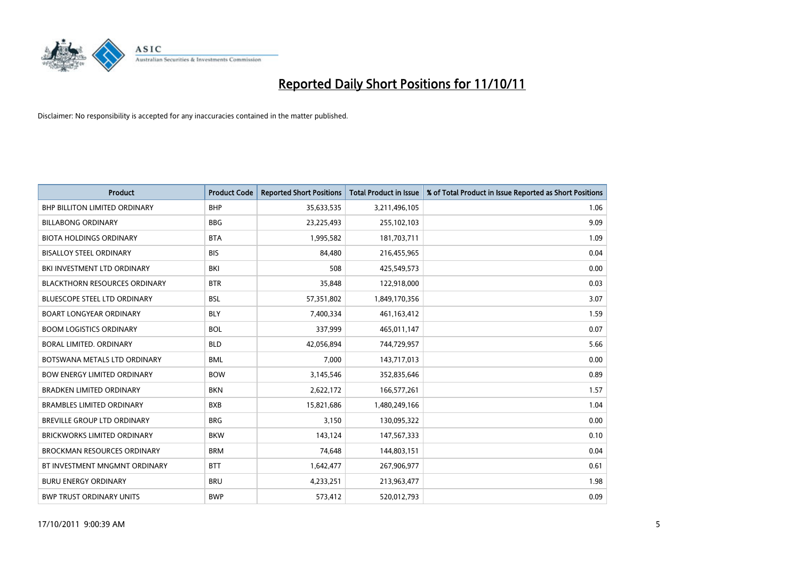

| <b>Product</b>                       | <b>Product Code</b> | <b>Reported Short Positions</b> | <b>Total Product in Issue</b> | % of Total Product in Issue Reported as Short Positions |
|--------------------------------------|---------------------|---------------------------------|-------------------------------|---------------------------------------------------------|
| <b>BHP BILLITON LIMITED ORDINARY</b> | <b>BHP</b>          | 35,633,535                      | 3,211,496,105                 | 1.06                                                    |
| <b>BILLABONG ORDINARY</b>            | <b>BBG</b>          | 23,225,493                      | 255,102,103                   | 9.09                                                    |
| <b>BIOTA HOLDINGS ORDINARY</b>       | <b>BTA</b>          | 1,995,582                       | 181,703,711                   | 1.09                                                    |
| <b>BISALLOY STEEL ORDINARY</b>       | <b>BIS</b>          | 84,480                          | 216,455,965                   | 0.04                                                    |
| BKI INVESTMENT LTD ORDINARY          | BKI                 | 508                             | 425,549,573                   | 0.00                                                    |
| <b>BLACKTHORN RESOURCES ORDINARY</b> | <b>BTR</b>          | 35,848                          | 122,918,000                   | 0.03                                                    |
| <b>BLUESCOPE STEEL LTD ORDINARY</b>  | <b>BSL</b>          | 57,351,802                      | 1,849,170,356                 | 3.07                                                    |
| <b>BOART LONGYEAR ORDINARY</b>       | <b>BLY</b>          | 7,400,334                       | 461,163,412                   | 1.59                                                    |
| <b>BOOM LOGISTICS ORDINARY</b>       | <b>BOL</b>          | 337,999                         | 465,011,147                   | 0.07                                                    |
| <b>BORAL LIMITED, ORDINARY</b>       | <b>BLD</b>          | 42,056,894                      | 744,729,957                   | 5.66                                                    |
| BOTSWANA METALS LTD ORDINARY         | <b>BML</b>          | 7,000                           | 143,717,013                   | 0.00                                                    |
| <b>BOW ENERGY LIMITED ORDINARY</b>   | <b>BOW</b>          | 3,145,546                       | 352,835,646                   | 0.89                                                    |
| <b>BRADKEN LIMITED ORDINARY</b>      | <b>BKN</b>          | 2,622,172                       | 166,577,261                   | 1.57                                                    |
| <b>BRAMBLES LIMITED ORDINARY</b>     | <b>BXB</b>          | 15,821,686                      | 1,480,249,166                 | 1.04                                                    |
| <b>BREVILLE GROUP LTD ORDINARY</b>   | <b>BRG</b>          | 3,150                           | 130,095,322                   | 0.00                                                    |
| <b>BRICKWORKS LIMITED ORDINARY</b>   | <b>BKW</b>          | 143,124                         | 147,567,333                   | 0.10                                                    |
| <b>BROCKMAN RESOURCES ORDINARY</b>   | <b>BRM</b>          | 74,648                          | 144,803,151                   | 0.04                                                    |
| BT INVESTMENT MNGMNT ORDINARY        | <b>BTT</b>          | 1,642,477                       | 267,906,977                   | 0.61                                                    |
| <b>BURU ENERGY ORDINARY</b>          | <b>BRU</b>          | 4,233,251                       | 213,963,477                   | 1.98                                                    |
| <b>BWP TRUST ORDINARY UNITS</b>      | <b>BWP</b>          | 573,412                         | 520.012.793                   | 0.09                                                    |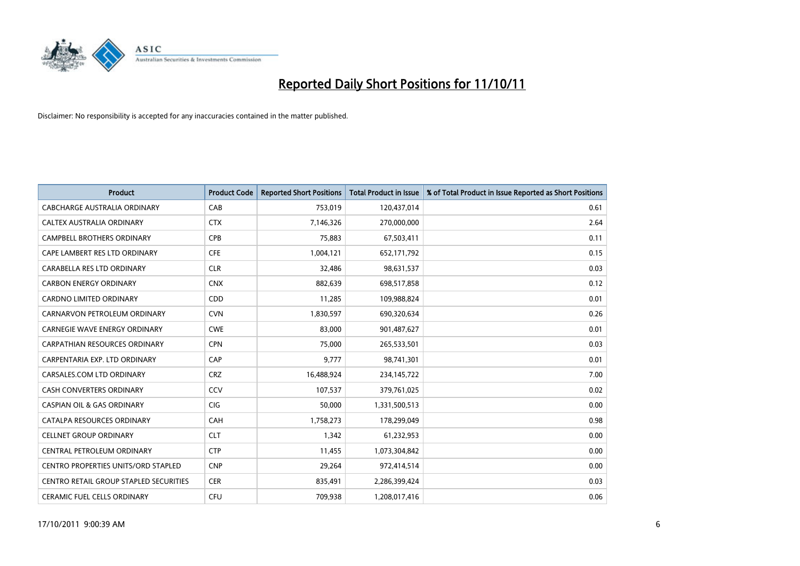

| <b>Product</b>                         | <b>Product Code</b> | <b>Reported Short Positions</b> | <b>Total Product in Issue</b> | % of Total Product in Issue Reported as Short Positions |
|----------------------------------------|---------------------|---------------------------------|-------------------------------|---------------------------------------------------------|
| CABCHARGE AUSTRALIA ORDINARY           | CAB                 | 753,019                         | 120,437,014                   | 0.61                                                    |
| CALTEX AUSTRALIA ORDINARY              | <b>CTX</b>          | 7,146,326                       | 270,000,000                   | 2.64                                                    |
| <b>CAMPBELL BROTHERS ORDINARY</b>      | <b>CPB</b>          | 75,883                          | 67,503,411                    | 0.11                                                    |
| CAPE LAMBERT RES LTD ORDINARY          | <b>CFE</b>          | 1,004,121                       | 652,171,792                   | 0.15                                                    |
| CARABELLA RES LTD ORDINARY             | <b>CLR</b>          | 32,486                          | 98,631,537                    | 0.03                                                    |
| <b>CARBON ENERGY ORDINARY</b>          | <b>CNX</b>          | 882,639                         | 698,517,858                   | 0.12                                                    |
| <b>CARDNO LIMITED ORDINARY</b>         | CDD                 | 11,285                          | 109,988,824                   | 0.01                                                    |
| CARNARVON PETROLEUM ORDINARY           | <b>CVN</b>          | 1,830,597                       | 690,320,634                   | 0.26                                                    |
| CARNEGIE WAVE ENERGY ORDINARY          | <b>CWE</b>          | 83,000                          | 901,487,627                   | 0.01                                                    |
| CARPATHIAN RESOURCES ORDINARY          | <b>CPN</b>          | 75,000                          | 265,533,501                   | 0.03                                                    |
| CARPENTARIA EXP. LTD ORDINARY          | CAP                 | 9,777                           | 98,741,301                    | 0.01                                                    |
| CARSALES.COM LTD ORDINARY              | <b>CRZ</b>          | 16,488,924                      | 234,145,722                   | 7.00                                                    |
| <b>CASH CONVERTERS ORDINARY</b>        | CCV                 | 107,537                         | 379,761,025                   | 0.02                                                    |
| <b>CASPIAN OIL &amp; GAS ORDINARY</b>  | <b>CIG</b>          | 50,000                          | 1,331,500,513                 | 0.00                                                    |
| CATALPA RESOURCES ORDINARY             | CAH                 | 1,758,273                       | 178,299,049                   | 0.98                                                    |
| <b>CELLNET GROUP ORDINARY</b>          | <b>CLT</b>          | 1,342                           | 61,232,953                    | 0.00                                                    |
| CENTRAL PETROLEUM ORDINARY             | <b>CTP</b>          | 11,455                          | 1,073,304,842                 | 0.00                                                    |
| CENTRO PROPERTIES UNITS/ORD STAPLED    | <b>CNP</b>          | 29,264                          | 972,414,514                   | 0.00                                                    |
| CENTRO RETAIL GROUP STAPLED SECURITIES | <b>CER</b>          | 835,491                         | 2,286,399,424                 | 0.03                                                    |
| CERAMIC FUEL CELLS ORDINARY            | <b>CFU</b>          | 709,938                         | 1,208,017,416                 | 0.06                                                    |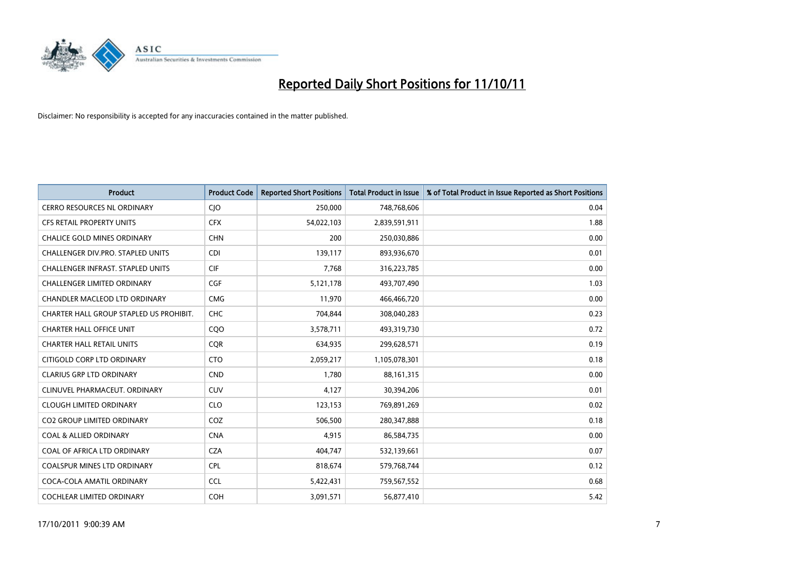

| <b>Product</b>                           | <b>Product Code</b> | <b>Reported Short Positions</b> | <b>Total Product in Issue</b> | % of Total Product in Issue Reported as Short Positions |
|------------------------------------------|---------------------|---------------------------------|-------------------------------|---------------------------------------------------------|
| <b>CERRO RESOURCES NL ORDINARY</b>       | <b>CIO</b>          | 250,000                         | 748,768,606                   | 0.04                                                    |
| CFS RETAIL PROPERTY UNITS                | <b>CFX</b>          | 54,022,103                      | 2,839,591,911                 | 1.88                                                    |
| <b>CHALICE GOLD MINES ORDINARY</b>       | <b>CHN</b>          | 200                             | 250,030,886                   | 0.00                                                    |
| CHALLENGER DIV.PRO. STAPLED UNITS        | CDI                 | 139,117                         | 893,936,670                   | 0.01                                                    |
| <b>CHALLENGER INFRAST, STAPLED UNITS</b> | <b>CIF</b>          | 7.768                           | 316,223,785                   | 0.00                                                    |
| <b>CHALLENGER LIMITED ORDINARY</b>       | <b>CGF</b>          | 5,121,178                       | 493,707,490                   | 1.03                                                    |
| <b>CHANDLER MACLEOD LTD ORDINARY</b>     | <b>CMG</b>          | 11,970                          | 466,466,720                   | 0.00                                                    |
| CHARTER HALL GROUP STAPLED US PROHIBIT.  | <b>CHC</b>          | 704,844                         | 308,040,283                   | 0.23                                                    |
| <b>CHARTER HALL OFFICE UNIT</b>          | CQ <sub>O</sub>     | 3,578,711                       | 493,319,730                   | 0.72                                                    |
| <b>CHARTER HALL RETAIL UNITS</b>         | <b>COR</b>          | 634,935                         | 299,628,571                   | 0.19                                                    |
| CITIGOLD CORP LTD ORDINARY               | <b>CTO</b>          | 2,059,217                       | 1,105,078,301                 | 0.18                                                    |
| <b>CLARIUS GRP LTD ORDINARY</b>          | <b>CND</b>          | 1.780                           | 88,161,315                    | 0.00                                                    |
| CLINUVEL PHARMACEUT. ORDINARY            | <b>CUV</b>          | 4,127                           | 30,394,206                    | 0.01                                                    |
| <b>CLOUGH LIMITED ORDINARY</b>           | <b>CLO</b>          | 123,153                         | 769,891,269                   | 0.02                                                    |
| <b>CO2 GROUP LIMITED ORDINARY</b>        | COZ                 | 506,500                         | 280,347,888                   | 0.18                                                    |
| <b>COAL &amp; ALLIED ORDINARY</b>        | <b>CNA</b>          | 4,915                           | 86,584,735                    | 0.00                                                    |
| COAL OF AFRICA LTD ORDINARY              | <b>CZA</b>          | 404,747                         | 532,139,661                   | 0.07                                                    |
| <b>COALSPUR MINES LTD ORDINARY</b>       | <b>CPL</b>          | 818,674                         | 579,768,744                   | 0.12                                                    |
| COCA-COLA AMATIL ORDINARY                | <b>CCL</b>          | 5,422,431                       | 759,567,552                   | 0.68                                                    |
| <b>COCHLEAR LIMITED ORDINARY</b>         | <b>COH</b>          | 3,091,571                       | 56,877,410                    | 5.42                                                    |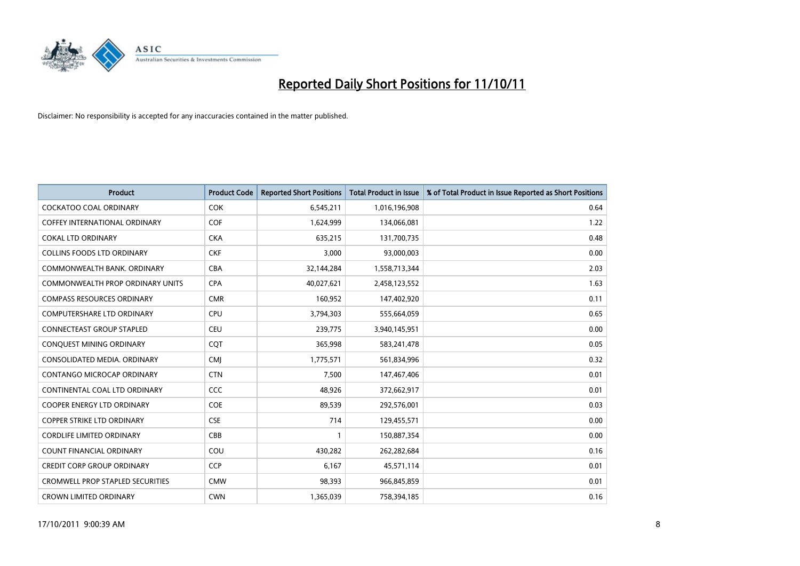

| <b>Product</b>                          | <b>Product Code</b> | <b>Reported Short Positions</b> | <b>Total Product in Issue</b> | % of Total Product in Issue Reported as Short Positions |
|-----------------------------------------|---------------------|---------------------------------|-------------------------------|---------------------------------------------------------|
| <b>COCKATOO COAL ORDINARY</b>           | <b>COK</b>          | 6,545,211                       | 1,016,196,908                 | 0.64                                                    |
| <b>COFFEY INTERNATIONAL ORDINARY</b>    | <b>COF</b>          | 1,624,999                       | 134,066,081                   | 1.22                                                    |
| <b>COKAL LTD ORDINARY</b>               | <b>CKA</b>          | 635,215                         | 131,700,735                   | 0.48                                                    |
| COLLINS FOODS LTD ORDINARY              | <b>CKF</b>          | 3,000                           | 93,000,003                    | 0.00                                                    |
| COMMONWEALTH BANK, ORDINARY             | CBA                 | 32,144,284                      | 1,558,713,344                 | 2.03                                                    |
| <b>COMMONWEALTH PROP ORDINARY UNITS</b> | <b>CPA</b>          | 40,027,621                      | 2,458,123,552                 | 1.63                                                    |
| <b>COMPASS RESOURCES ORDINARY</b>       | <b>CMR</b>          | 160,952                         | 147,402,920                   | 0.11                                                    |
| <b>COMPUTERSHARE LTD ORDINARY</b>       | CPU                 | 3,794,303                       | 555,664,059                   | 0.65                                                    |
| <b>CONNECTEAST GROUP STAPLED</b>        | <b>CEU</b>          | 239,775                         | 3,940,145,951                 | 0.00                                                    |
| CONQUEST MINING ORDINARY                | COT                 | 365,998                         | 583,241,478                   | 0.05                                                    |
| CONSOLIDATED MEDIA, ORDINARY            | <b>CMI</b>          | 1,775,571                       | 561,834,996                   | 0.32                                                    |
| CONTANGO MICROCAP ORDINARY              | <b>CTN</b>          | 7,500                           | 147,467,406                   | 0.01                                                    |
| CONTINENTAL COAL LTD ORDINARY           | CCC                 | 48,926                          | 372,662,917                   | 0.01                                                    |
| <b>COOPER ENERGY LTD ORDINARY</b>       | <b>COE</b>          | 89,539                          | 292,576,001                   | 0.03                                                    |
| <b>COPPER STRIKE LTD ORDINARY</b>       | <b>CSE</b>          | 714                             | 129,455,571                   | 0.00                                                    |
| <b>CORDLIFE LIMITED ORDINARY</b>        | CBB                 |                                 | 150,887,354                   | 0.00                                                    |
| COUNT FINANCIAL ORDINARY                | COU                 | 430,282                         | 262,282,684                   | 0.16                                                    |
| <b>CREDIT CORP GROUP ORDINARY</b>       | <b>CCP</b>          | 6,167                           | 45,571,114                    | 0.01                                                    |
| <b>CROMWELL PROP STAPLED SECURITIES</b> | <b>CMW</b>          | 98,393                          | 966,845,859                   | 0.01                                                    |
| <b>CROWN LIMITED ORDINARY</b>           | <b>CWN</b>          | 1,365,039                       | 758,394,185                   | 0.16                                                    |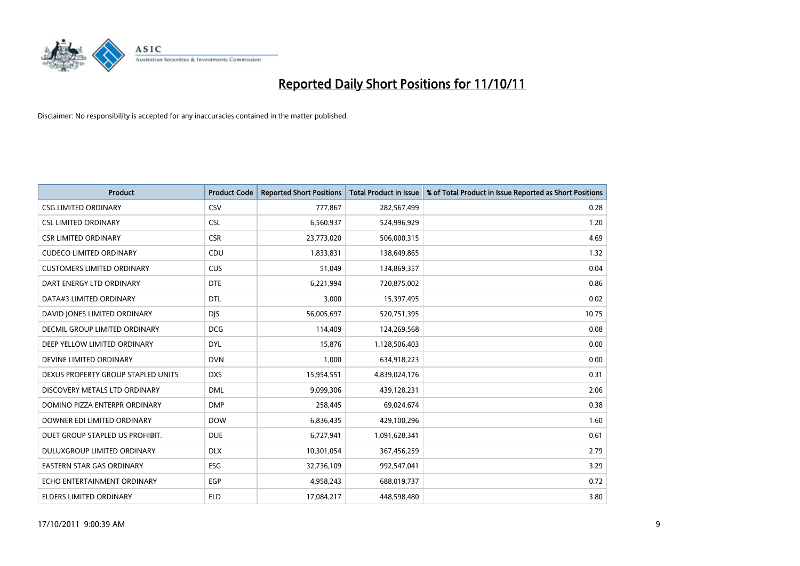

| <b>Product</b>                       | <b>Product Code</b> | <b>Reported Short Positions</b> | <b>Total Product in Issue</b> | % of Total Product in Issue Reported as Short Positions |
|--------------------------------------|---------------------|---------------------------------|-------------------------------|---------------------------------------------------------|
| <b>CSG LIMITED ORDINARY</b>          | CSV                 | 777,867                         | 282,567,499                   | 0.28                                                    |
| <b>CSL LIMITED ORDINARY</b>          | <b>CSL</b>          | 6,560,937                       | 524,996,929                   | 1.20                                                    |
| <b>CSR LIMITED ORDINARY</b>          | <b>CSR</b>          | 23,773,020                      | 506,000,315                   | 4.69                                                    |
| <b>CUDECO LIMITED ORDINARY</b>       | CDU                 | 1,833,831                       | 138,649,865                   | 1.32                                                    |
| <b>CUSTOMERS LIMITED ORDINARY</b>    | <b>CUS</b>          | 51,049                          | 134,869,357                   | 0.04                                                    |
| DART ENERGY LTD ORDINARY             | <b>DTE</b>          | 6,221,994                       | 720,875,002                   | 0.86                                                    |
| DATA#3 LIMITED ORDINARY              | <b>DTL</b>          | 3,000                           | 15,397,495                    | 0.02                                                    |
| DAVID JONES LIMITED ORDINARY         | <b>DIS</b>          | 56,005,697                      | 520,751,395                   | 10.75                                                   |
| <b>DECMIL GROUP LIMITED ORDINARY</b> | <b>DCG</b>          | 114,409                         | 124,269,568                   | 0.08                                                    |
| DEEP YELLOW LIMITED ORDINARY         | <b>DYL</b>          | 15,876                          | 1,128,506,403                 | 0.00                                                    |
| DEVINE LIMITED ORDINARY              | <b>DVN</b>          | 1,000                           | 634,918,223                   | 0.00                                                    |
| DEXUS PROPERTY GROUP STAPLED UNITS   | <b>DXS</b>          | 15,954,551                      | 4,839,024,176                 | 0.31                                                    |
| DISCOVERY METALS LTD ORDINARY        | <b>DML</b>          | 9,099,306                       | 439,128,231                   | 2.06                                                    |
| DOMINO PIZZA ENTERPR ORDINARY        | <b>DMP</b>          | 258,445                         | 69,024,674                    | 0.38                                                    |
| DOWNER EDI LIMITED ORDINARY          | <b>DOW</b>          | 6,836,435                       | 429,100,296                   | 1.60                                                    |
| DUET GROUP STAPLED US PROHIBIT.      | <b>DUE</b>          | 6,727,941                       | 1,091,628,341                 | 0.61                                                    |
| DULUXGROUP LIMITED ORDINARY          | <b>DLX</b>          | 10,301,054                      | 367,456,259                   | 2.79                                                    |
| EASTERN STAR GAS ORDINARY            | ESG                 | 32,736,109                      | 992,547,041                   | 3.29                                                    |
| ECHO ENTERTAINMENT ORDINARY          | <b>EGP</b>          | 4,958,243                       | 688,019,737                   | 0.72                                                    |
| ELDERS LIMITED ORDINARY              | <b>ELD</b>          | 17,084,217                      | 448,598,480                   | 3.80                                                    |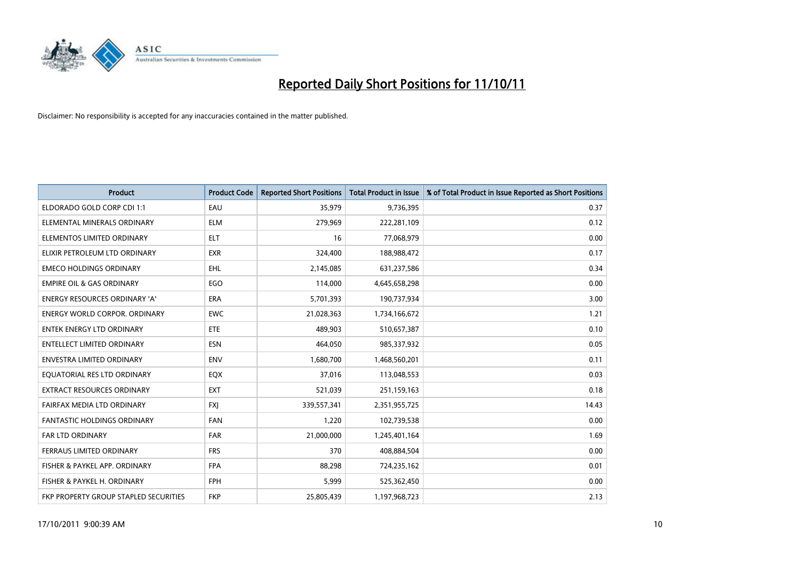

| <b>Product</b>                        | <b>Product Code</b> | <b>Reported Short Positions</b> | <b>Total Product in Issue</b> | % of Total Product in Issue Reported as Short Positions |
|---------------------------------------|---------------------|---------------------------------|-------------------------------|---------------------------------------------------------|
| ELDORADO GOLD CORP CDI 1:1            | EAU                 | 35,979                          | 9,736,395                     | 0.37                                                    |
| ELEMENTAL MINERALS ORDINARY           | <b>ELM</b>          | 279,969                         | 222,281,109                   | 0.12                                                    |
| ELEMENTOS LIMITED ORDINARY            | <b>ELT</b>          | 16                              | 77,068,979                    | 0.00                                                    |
| ELIXIR PETROLEUM LTD ORDINARY         | <b>EXR</b>          | 324,400                         | 188,988,472                   | 0.17                                                    |
| <b>EMECO HOLDINGS ORDINARY</b>        | <b>EHL</b>          | 2,145,085                       | 631,237,586                   | 0.34                                                    |
| <b>EMPIRE OIL &amp; GAS ORDINARY</b>  | EGO                 | 114,000                         | 4,645,658,298                 | 0.00                                                    |
| <b>ENERGY RESOURCES ORDINARY 'A'</b>  | <b>ERA</b>          | 5,701,393                       | 190,737,934                   | 3.00                                                    |
| <b>ENERGY WORLD CORPOR. ORDINARY</b>  | <b>EWC</b>          | 21,028,363                      | 1,734,166,672                 | 1.21                                                    |
| <b>ENTEK ENERGY LTD ORDINARY</b>      | <b>ETE</b>          | 489.903                         | 510,657,387                   | 0.10                                                    |
| <b>ENTELLECT LIMITED ORDINARY</b>     | <b>ESN</b>          | 464,050                         | 985,337,932                   | 0.05                                                    |
| ENVESTRA LIMITED ORDINARY             | <b>ENV</b>          | 1,680,700                       | 1,468,560,201                 | 0.11                                                    |
| EQUATORIAL RES LTD ORDINARY           | EQX                 | 37,016                          | 113,048,553                   | 0.03                                                    |
| EXTRACT RESOURCES ORDINARY            | <b>EXT</b>          | 521,039                         | 251,159,163                   | 0.18                                                    |
| FAIRFAX MEDIA LTD ORDINARY            | <b>FXI</b>          | 339,557,341                     | 2,351,955,725                 | 14.43                                                   |
| <b>FANTASTIC HOLDINGS ORDINARY</b>    | <b>FAN</b>          | 1,220                           | 102,739,538                   | 0.00                                                    |
| <b>FAR LTD ORDINARY</b>               | FAR                 | 21,000,000                      | 1,245,401,164                 | 1.69                                                    |
| FERRAUS LIMITED ORDINARY              | <b>FRS</b>          | 370                             | 408,884,504                   | 0.00                                                    |
| FISHER & PAYKEL APP. ORDINARY         | <b>FPA</b>          | 88,298                          | 724,235,162                   | 0.01                                                    |
| FISHER & PAYKEL H. ORDINARY           | <b>FPH</b>          | 5,999                           | 525,362,450                   | 0.00                                                    |
| FKP PROPERTY GROUP STAPLED SECURITIES | <b>FKP</b>          | 25,805,439                      | 1,197,968,723                 | 2.13                                                    |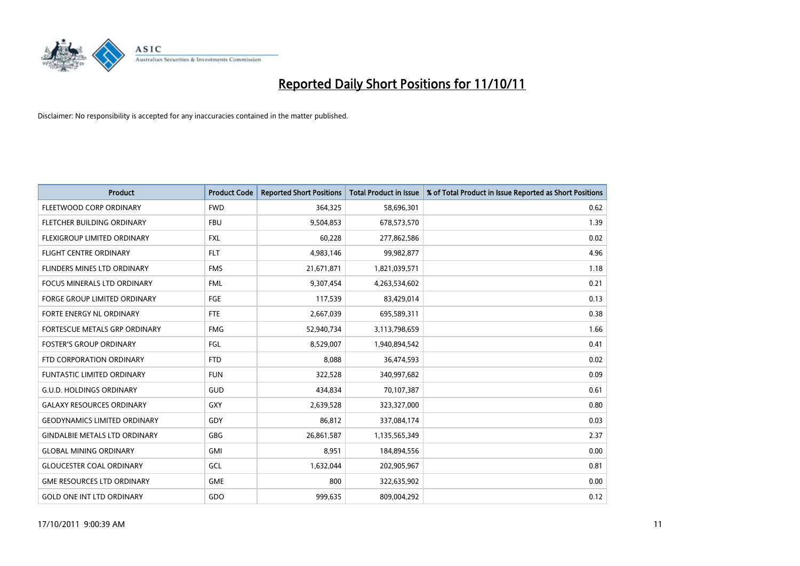

| <b>Product</b>                       | <b>Product Code</b> | <b>Reported Short Positions</b> | <b>Total Product in Issue</b> | % of Total Product in Issue Reported as Short Positions |
|--------------------------------------|---------------------|---------------------------------|-------------------------------|---------------------------------------------------------|
| FLEETWOOD CORP ORDINARY              | <b>FWD</b>          | 364,325                         | 58,696,301                    | 0.62                                                    |
| FLETCHER BUILDING ORDINARY           | <b>FBU</b>          | 9,504,853                       | 678,573,570                   | 1.39                                                    |
| FLEXIGROUP LIMITED ORDINARY          | <b>FXL</b>          | 60,228                          | 277,862,586                   | 0.02                                                    |
| <b>FLIGHT CENTRE ORDINARY</b>        | <b>FLT</b>          | 4,983,146                       | 99,982,877                    | 4.96                                                    |
| FLINDERS MINES LTD ORDINARY          | <b>FMS</b>          | 21,671,871                      | 1,821,039,571                 | 1.18                                                    |
| <b>FOCUS MINERALS LTD ORDINARY</b>   | <b>FML</b>          | 9,307,454                       | 4,263,534,602                 | 0.21                                                    |
| <b>FORGE GROUP LIMITED ORDINARY</b>  | FGE                 | 117,539                         | 83,429,014                    | 0.13                                                    |
| FORTE ENERGY NL ORDINARY             | <b>FTE</b>          | 2,667,039                       | 695,589,311                   | 0.38                                                    |
| <b>FORTESCUE METALS GRP ORDINARY</b> | <b>FMG</b>          | 52,940,734                      | 3,113,798,659                 | 1.66                                                    |
| <b>FOSTER'S GROUP ORDINARY</b>       | FGL                 | 8,529,007                       | 1,940,894,542                 | 0.41                                                    |
| FTD CORPORATION ORDINARY             | <b>FTD</b>          | 8,088                           | 36,474,593                    | 0.02                                                    |
| <b>FUNTASTIC LIMITED ORDINARY</b>    | <b>FUN</b>          | 322,528                         | 340,997,682                   | 0.09                                                    |
| <b>G.U.D. HOLDINGS ORDINARY</b>      | <b>GUD</b>          | 434,834                         | 70,107,387                    | 0.61                                                    |
| <b>GALAXY RESOURCES ORDINARY</b>     | GXY                 | 2,639,528                       | 323,327,000                   | 0.80                                                    |
| <b>GEODYNAMICS LIMITED ORDINARY</b>  | GDY                 | 86,812                          | 337,084,174                   | 0.03                                                    |
| <b>GINDALBIE METALS LTD ORDINARY</b> | GBG                 | 26,861,587                      | 1,135,565,349                 | 2.37                                                    |
| <b>GLOBAL MINING ORDINARY</b>        | <b>GMI</b>          | 8,951                           | 184,894,556                   | 0.00                                                    |
| <b>GLOUCESTER COAL ORDINARY</b>      | GCL                 | 1,632,044                       | 202,905,967                   | 0.81                                                    |
| <b>GME RESOURCES LTD ORDINARY</b>    | <b>GME</b>          | 800                             | 322,635,902                   | 0.00                                                    |
| <b>GOLD ONE INT LTD ORDINARY</b>     | GDO                 | 999,635                         | 809,004,292                   | 0.12                                                    |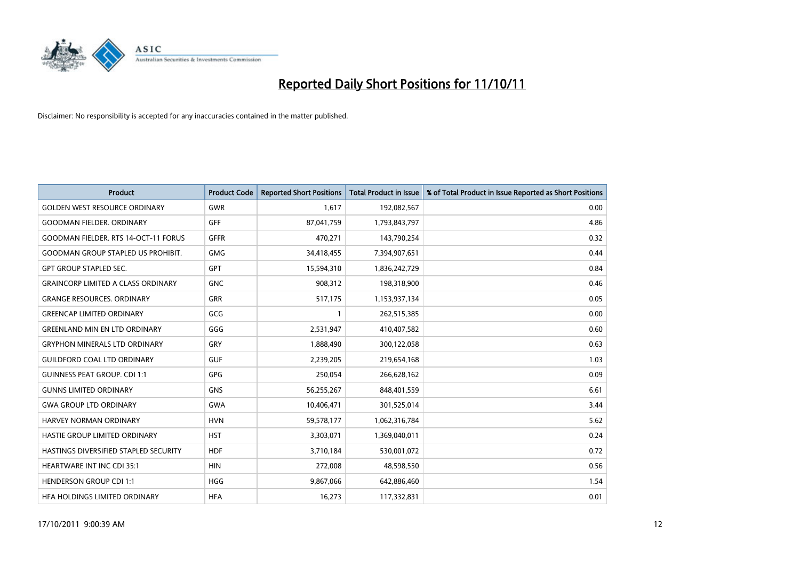

| <b>Product</b>                            | <b>Product Code</b> | <b>Reported Short Positions</b> | <b>Total Product in Issue</b> | % of Total Product in Issue Reported as Short Positions |
|-------------------------------------------|---------------------|---------------------------------|-------------------------------|---------------------------------------------------------|
| <b>GOLDEN WEST RESOURCE ORDINARY</b>      | GWR                 | 1,617                           | 192,082,567                   | 0.00                                                    |
| <b>GOODMAN FIELDER. ORDINARY</b>          | <b>GFF</b>          | 87,041,759                      | 1,793,843,797                 | 4.86                                                    |
| GOODMAN FIELDER. RTS 14-OCT-11 FORUS      | <b>GFFR</b>         | 470,271                         | 143,790,254                   | 0.32                                                    |
| <b>GOODMAN GROUP STAPLED US PROHIBIT.</b> | <b>GMG</b>          | 34,418,455                      | 7,394,907,651                 | 0.44                                                    |
| <b>GPT GROUP STAPLED SEC.</b>             | <b>GPT</b>          | 15,594,310                      | 1,836,242,729                 | 0.84                                                    |
| <b>GRAINCORP LIMITED A CLASS ORDINARY</b> | <b>GNC</b>          | 908,312                         | 198,318,900                   | 0.46                                                    |
| <b>GRANGE RESOURCES, ORDINARY</b>         | <b>GRR</b>          | 517,175                         | 1,153,937,134                 | 0.05                                                    |
| <b>GREENCAP LIMITED ORDINARY</b>          | GCG                 |                                 | 262,515,385                   | 0.00                                                    |
| <b>GREENLAND MIN EN LTD ORDINARY</b>      | GGG                 | 2,531,947                       | 410,407,582                   | 0.60                                                    |
| <b>GRYPHON MINERALS LTD ORDINARY</b>      | GRY                 | 1,888,490                       | 300,122,058                   | 0.63                                                    |
| <b>GUILDFORD COAL LTD ORDINARY</b>        | <b>GUF</b>          | 2,239,205                       | 219,654,168                   | 1.03                                                    |
| <b>GUINNESS PEAT GROUP. CDI 1:1</b>       | <b>GPG</b>          | 250,054                         | 266,628,162                   | 0.09                                                    |
| <b>GUNNS LIMITED ORDINARY</b>             | <b>GNS</b>          | 56,255,267                      | 848,401,559                   | 6.61                                                    |
| <b>GWA GROUP LTD ORDINARY</b>             | <b>GWA</b>          | 10,406,471                      | 301,525,014                   | 3.44                                                    |
| HARVEY NORMAN ORDINARY                    | <b>HVN</b>          | 59,578,177                      | 1,062,316,784                 | 5.62                                                    |
| HASTIE GROUP LIMITED ORDINARY             | <b>HST</b>          | 3,303,071                       | 1,369,040,011                 | 0.24                                                    |
| HASTINGS DIVERSIFIED STAPLED SECURITY     | <b>HDF</b>          | 3,710,184                       | 530,001,072                   | 0.72                                                    |
| <b>HEARTWARE INT INC CDI 35:1</b>         | <b>HIN</b>          | 272,008                         | 48,598,550                    | 0.56                                                    |
| <b>HENDERSON GROUP CDI 1:1</b>            | <b>HGG</b>          | 9,867,066                       | 642,886,460                   | 1.54                                                    |
| HEA HOLDINGS LIMITED ORDINARY             | <b>HFA</b>          | 16,273                          | 117,332,831                   | 0.01                                                    |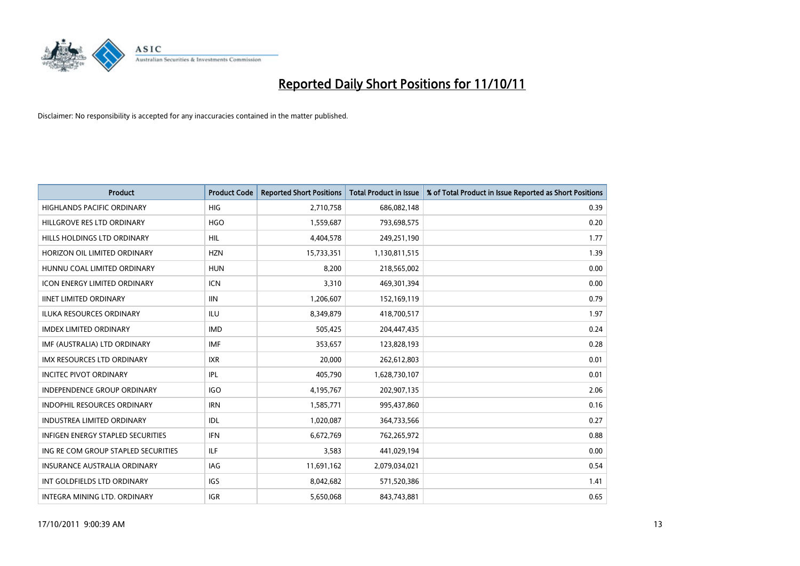

| <b>Product</b>                      | <b>Product Code</b> | <b>Reported Short Positions</b> | <b>Total Product in Issue</b> | % of Total Product in Issue Reported as Short Positions |
|-------------------------------------|---------------------|---------------------------------|-------------------------------|---------------------------------------------------------|
| <b>HIGHLANDS PACIFIC ORDINARY</b>   | <b>HIG</b>          | 2,710,758                       | 686,082,148                   | 0.39                                                    |
| HILLGROVE RES LTD ORDINARY          | <b>HGO</b>          | 1,559,687                       | 793,698,575                   | 0.20                                                    |
| HILLS HOLDINGS LTD ORDINARY         | <b>HIL</b>          | 4,404,578                       | 249,251,190                   | 1.77                                                    |
| HORIZON OIL LIMITED ORDINARY        | <b>HZN</b>          | 15,733,351                      | 1,130,811,515                 | 1.39                                                    |
| HUNNU COAL LIMITED ORDINARY         | <b>HUN</b>          | 8,200                           | 218,565,002                   | 0.00                                                    |
| <b>ICON ENERGY LIMITED ORDINARY</b> | <b>ICN</b>          | 3,310                           | 469,301,394                   | 0.00                                                    |
| <b>IINET LIMITED ORDINARY</b>       | <b>IIN</b>          | 1,206,607                       | 152,169,119                   | 0.79                                                    |
| ILUKA RESOURCES ORDINARY            | ILU                 | 8,349,879                       | 418,700,517                   | 1.97                                                    |
| <b>IMDEX LIMITED ORDINARY</b>       | <b>IMD</b>          | 505,425                         | 204,447,435                   | 0.24                                                    |
| IMF (AUSTRALIA) LTD ORDINARY        | <b>IMF</b>          | 353,657                         | 123,828,193                   | 0.28                                                    |
| IMX RESOURCES LTD ORDINARY          | <b>IXR</b>          | 20,000                          | 262,612,803                   | 0.01                                                    |
| <b>INCITEC PIVOT ORDINARY</b>       | IPL                 | 405,790                         | 1,628,730,107                 | 0.01                                                    |
| INDEPENDENCE GROUP ORDINARY         | <b>IGO</b>          | 4,195,767                       | 202,907,135                   | 2.06                                                    |
| INDOPHIL RESOURCES ORDINARY         | <b>IRN</b>          | 1,585,771                       | 995,437,860                   | 0.16                                                    |
| <b>INDUSTREA LIMITED ORDINARY</b>   | IDL                 | 1,020,087                       | 364,733,566                   | 0.27                                                    |
| INFIGEN ENERGY STAPLED SECURITIES   | <b>IFN</b>          | 6,672,769                       | 762,265,972                   | 0.88                                                    |
| ING RE COM GROUP STAPLED SECURITIES | <b>ILF</b>          | 3,583                           | 441,029,194                   | 0.00                                                    |
| INSURANCE AUSTRALIA ORDINARY        | IAG                 | 11,691,162                      | 2,079,034,021                 | 0.54                                                    |
| INT GOLDFIELDS LTD ORDINARY         | <b>IGS</b>          | 8,042,682                       | 571,520,386                   | 1.41                                                    |
| INTEGRA MINING LTD. ORDINARY        | <b>IGR</b>          | 5,650,068                       | 843,743,881                   | 0.65                                                    |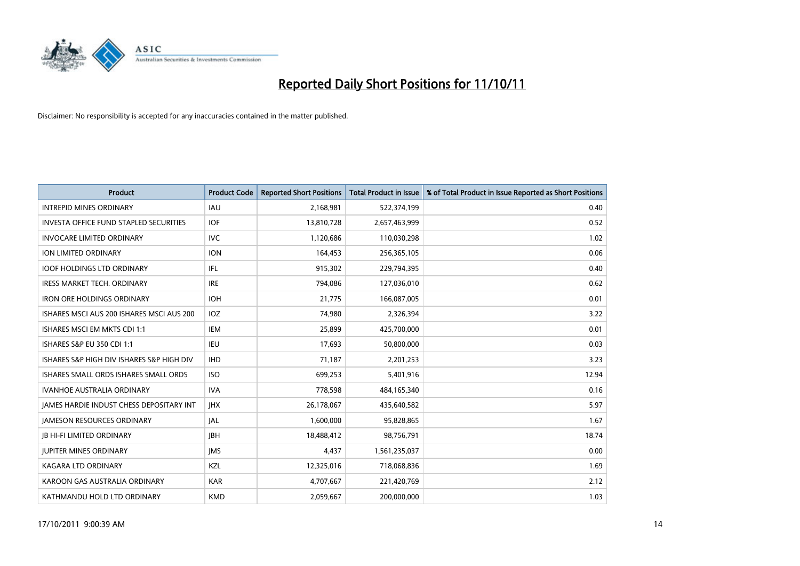

| <b>Product</b>                                  | <b>Product Code</b> | <b>Reported Short Positions</b> | <b>Total Product in Issue</b> | % of Total Product in Issue Reported as Short Positions |
|-------------------------------------------------|---------------------|---------------------------------|-------------------------------|---------------------------------------------------------|
| <b>INTREPID MINES ORDINARY</b>                  | <b>IAU</b>          | 2,168,981                       | 522,374,199                   | 0.40                                                    |
| INVESTA OFFICE FUND STAPLED SECURITIES          | <b>IOF</b>          | 13,810,728                      | 2,657,463,999                 | 0.52                                                    |
| <b>INVOCARE LIMITED ORDINARY</b>                | <b>IVC</b>          | 1,120,686                       | 110,030,298                   | 1.02                                                    |
| ION LIMITED ORDINARY                            | <b>ION</b>          | 164,453                         | 256,365,105                   | 0.06                                                    |
| <b>IOOF HOLDINGS LTD ORDINARY</b>               | <b>IFL</b>          | 915,302                         | 229,794,395                   | 0.40                                                    |
| <b>IRESS MARKET TECH. ORDINARY</b>              | <b>IRE</b>          | 794,086                         | 127,036,010                   | 0.62                                                    |
| <b>IRON ORE HOLDINGS ORDINARY</b>               | <b>IOH</b>          | 21,775                          | 166,087,005                   | 0.01                                                    |
| ISHARES MSCI AUS 200 ISHARES MSCI AUS 200       | <b>IOZ</b>          | 74,980                          | 2,326,394                     | 3.22                                                    |
| ISHARES MSCI EM MKTS CDI 1:1                    | IEM                 | 25,899                          | 425,700,000                   | 0.01                                                    |
| <b>ISHARES S&amp;P EU 350 CDI 1:1</b>           | <b>IEU</b>          | 17,693                          | 50,800,000                    | 0.03                                                    |
| ISHARES S&P HIGH DIV ISHARES S&P HIGH DIV       | <b>IHD</b>          | 71,187                          | 2,201,253                     | 3.23                                                    |
| ISHARES SMALL ORDS ISHARES SMALL ORDS           | <b>ISO</b>          | 699,253                         | 5,401,916                     | 12.94                                                   |
| <b>IVANHOE AUSTRALIA ORDINARY</b>               | <b>IVA</b>          | 778,598                         | 484,165,340                   | 0.16                                                    |
| <b>IAMES HARDIE INDUST CHESS DEPOSITARY INT</b> | <b>IHX</b>          | 26,178,067                      | 435,640,582                   | 5.97                                                    |
| <b>JAMESON RESOURCES ORDINARY</b>               | <b>JAL</b>          | 1,600,000                       | 95,828,865                    | 1.67                                                    |
| <b>JB HI-FI LIMITED ORDINARY</b>                | <b>IBH</b>          | 18,488,412                      | 98,756,791                    | 18.74                                                   |
| <b>JUPITER MINES ORDINARY</b>                   | <b>IMS</b>          | 4,437                           | 1,561,235,037                 | 0.00                                                    |
| <b>KAGARA LTD ORDINARY</b>                      | KZL                 | 12,325,016                      | 718,068,836                   | 1.69                                                    |
| KAROON GAS AUSTRALIA ORDINARY                   | <b>KAR</b>          | 4,707,667                       | 221,420,769                   | 2.12                                                    |
| KATHMANDU HOLD LTD ORDINARY                     | <b>KMD</b>          | 2,059,667                       | 200,000,000                   | 1.03                                                    |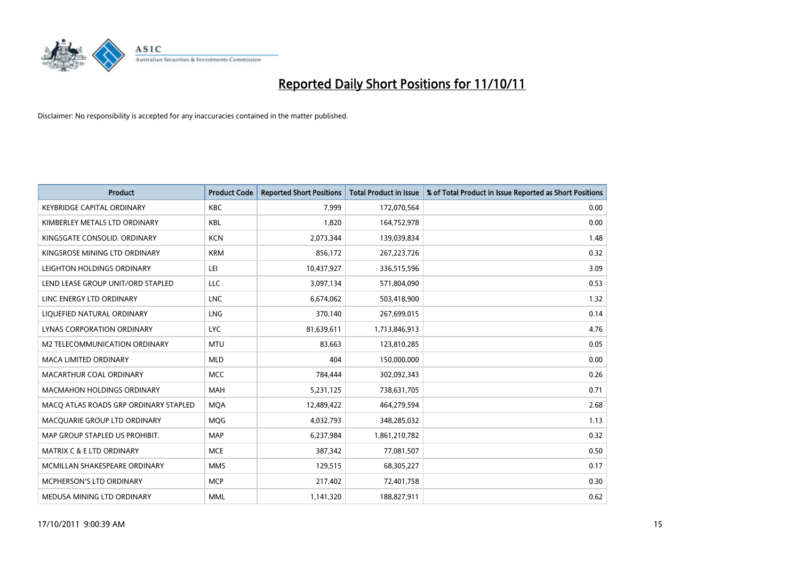

| <b>Product</b>                        | <b>Product Code</b> | <b>Reported Short Positions</b> | <b>Total Product in Issue</b> | % of Total Product in Issue Reported as Short Positions |
|---------------------------------------|---------------------|---------------------------------|-------------------------------|---------------------------------------------------------|
| <b>KEYBRIDGE CAPITAL ORDINARY</b>     | <b>KBC</b>          | 7,999                           | 172,070,564                   | 0.00                                                    |
| KIMBERLEY METALS LTD ORDINARY         | <b>KBL</b>          | 1,820                           | 164,752,978                   | 0.00                                                    |
| KINGSGATE CONSOLID. ORDINARY          | <b>KCN</b>          | 2,073,344                       | 139,039,834                   | 1.48                                                    |
| KINGSROSE MINING LTD ORDINARY         | <b>KRM</b>          | 856,172                         | 267,223,726                   | 0.32                                                    |
| LEIGHTON HOLDINGS ORDINARY            | LEI                 | 10,437,927                      | 336,515,596                   | 3.09                                                    |
| LEND LEASE GROUP UNIT/ORD STAPLED     | <b>LLC</b>          | 3,097,134                       | 571,804,090                   | 0.53                                                    |
| LINC ENERGY LTD ORDINARY              | <b>LNC</b>          | 6,674,062                       | 503,418,900                   | 1.32                                                    |
| LIQUEFIED NATURAL ORDINARY            | LNG                 | 370,140                         | 267,699,015                   | 0.14                                                    |
| LYNAS CORPORATION ORDINARY            | <b>LYC</b>          | 81,639,611                      | 1,713,846,913                 | 4.76                                                    |
| M2 TELECOMMUNICATION ORDINARY         | <b>MTU</b>          | 83,663                          | 123,810,285                   | 0.05                                                    |
| MACA LIMITED ORDINARY                 | <b>MLD</b>          | 404                             | 150,000,000                   | 0.00                                                    |
| MACARTHUR COAL ORDINARY               | <b>MCC</b>          | 784,444                         | 302,092,343                   | 0.26                                                    |
| MACMAHON HOLDINGS ORDINARY            | <b>MAH</b>          | 5,231,125                       | 738,631,705                   | 0.71                                                    |
| MACQ ATLAS ROADS GRP ORDINARY STAPLED | <b>MQA</b>          | 12,489,422                      | 464,279,594                   | 2.68                                                    |
| MACQUARIE GROUP LTD ORDINARY          | MQG                 | 4,032,793                       | 348,285,032                   | 1.13                                                    |
| MAP GROUP STAPLED US PROHIBIT.        | <b>MAP</b>          | 6,237,984                       | 1,861,210,782                 | 0.32                                                    |
| MATRIX C & E LTD ORDINARY             | <b>MCE</b>          | 387,342                         | 77,081,507                    | 0.50                                                    |
| MCMILLAN SHAKESPEARE ORDINARY         | <b>MMS</b>          | 129,515                         | 68,305,227                    | 0.17                                                    |
| <b>MCPHERSON'S LTD ORDINARY</b>       | <b>MCP</b>          | 217,402                         | 72,401,758                    | 0.30                                                    |
| MEDUSA MINING LTD ORDINARY            | <b>MML</b>          | 1,141,320                       | 188,827,911                   | 0.62                                                    |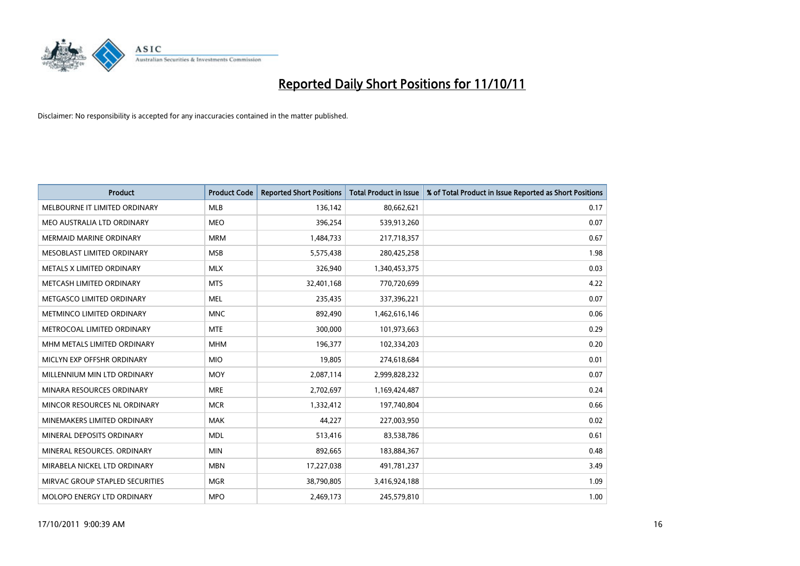

| <b>Product</b>                    | <b>Product Code</b> | <b>Reported Short Positions</b> | <b>Total Product in Issue</b> | % of Total Product in Issue Reported as Short Positions |
|-----------------------------------|---------------------|---------------------------------|-------------------------------|---------------------------------------------------------|
| MELBOURNE IT LIMITED ORDINARY     | <b>MLB</b>          | 136,142                         | 80,662,621                    | 0.17                                                    |
| MEO AUSTRALIA LTD ORDINARY        | <b>MEO</b>          | 396,254                         | 539,913,260                   | 0.07                                                    |
| <b>MERMAID MARINE ORDINARY</b>    | <b>MRM</b>          | 1,484,733                       | 217,718,357                   | 0.67                                                    |
| MESOBLAST LIMITED ORDINARY        | <b>MSB</b>          | 5,575,438                       | 280,425,258                   | 1.98                                                    |
| METALS X LIMITED ORDINARY         | <b>MLX</b>          | 326,940                         | 1,340,453,375                 | 0.03                                                    |
| METCASH LIMITED ORDINARY          | <b>MTS</b>          | 32,401,168                      | 770,720,699                   | 4.22                                                    |
| METGASCO LIMITED ORDINARY         | <b>MEL</b>          | 235,435                         | 337,396,221                   | 0.07                                                    |
| <b>METMINCO LIMITED ORDINARY</b>  | <b>MNC</b>          | 892,490                         | 1,462,616,146                 | 0.06                                                    |
| METROCOAL LIMITED ORDINARY        | <b>MTE</b>          | 300,000                         | 101,973,663                   | 0.29                                                    |
| MHM METALS LIMITED ORDINARY       | <b>MHM</b>          | 196,377                         | 102,334,203                   | 0.20                                                    |
| MICLYN EXP OFFSHR ORDINARY        | <b>MIO</b>          | 19,805                          | 274,618,684                   | 0.01                                                    |
| MILLENNIUM MIN LTD ORDINARY       | <b>MOY</b>          | 2,087,114                       | 2,999,828,232                 | 0.07                                                    |
| MINARA RESOURCES ORDINARY         | <b>MRE</b>          | 2,702,697                       | 1,169,424,487                 | 0.24                                                    |
| MINCOR RESOURCES NL ORDINARY      | <b>MCR</b>          | 1,332,412                       | 197,740,804                   | 0.66                                                    |
| MINEMAKERS LIMITED ORDINARY       | <b>MAK</b>          | 44.227                          | 227,003,950                   | 0.02                                                    |
| MINERAL DEPOSITS ORDINARY         | <b>MDL</b>          | 513,416                         | 83,538,786                    | 0.61                                                    |
| MINERAL RESOURCES. ORDINARY       | <b>MIN</b>          | 892,665                         | 183,884,367                   | 0.48                                                    |
| MIRABELA NICKEL LTD ORDINARY      | <b>MBN</b>          | 17,227,038                      | 491,781,237                   | 3.49                                                    |
| MIRVAC GROUP STAPLED SECURITIES   | <b>MGR</b>          | 38,790,805                      | 3,416,924,188                 | 1.09                                                    |
| <b>MOLOPO ENERGY LTD ORDINARY</b> | <b>MPO</b>          | 2,469,173                       | 245,579,810                   | 1.00                                                    |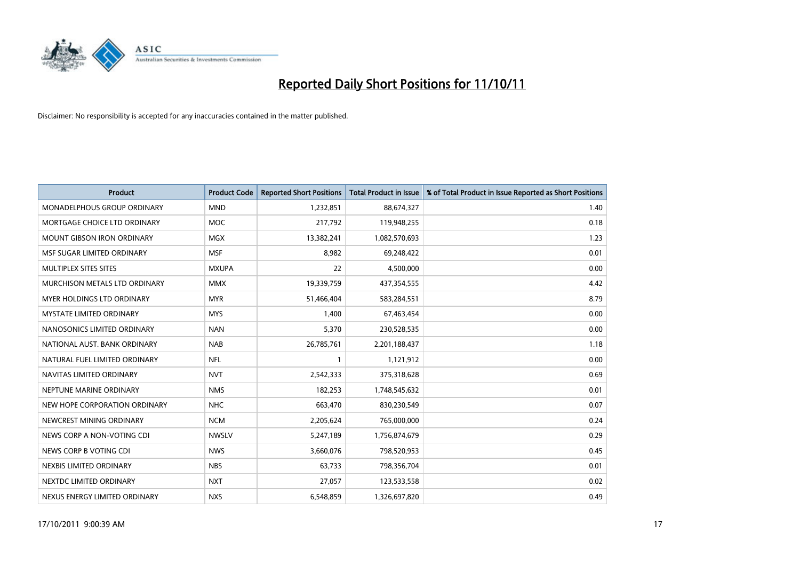

| <b>Product</b>                    | <b>Product Code</b> | <b>Reported Short Positions</b> | <b>Total Product in Issue</b> | % of Total Product in Issue Reported as Short Positions |
|-----------------------------------|---------------------|---------------------------------|-------------------------------|---------------------------------------------------------|
| MONADELPHOUS GROUP ORDINARY       | <b>MND</b>          | 1,232,851                       | 88,674,327                    | 1.40                                                    |
| MORTGAGE CHOICE LTD ORDINARY      | <b>MOC</b>          | 217,792                         | 119,948,255                   | 0.18                                                    |
| <b>MOUNT GIBSON IRON ORDINARY</b> | <b>MGX</b>          | 13,382,241                      | 1,082,570,693                 | 1.23                                                    |
| MSF SUGAR LIMITED ORDINARY        | <b>MSF</b>          | 8,982                           | 69,248,422                    | 0.01                                                    |
| MULTIPLEX SITES SITES             | <b>MXUPA</b>        | 22                              | 4,500,000                     | 0.00                                                    |
| MURCHISON METALS LTD ORDINARY     | <b>MMX</b>          | 19,339,759                      | 437,354,555                   | 4.42                                                    |
| <b>MYER HOLDINGS LTD ORDINARY</b> | <b>MYR</b>          | 51,466,404                      | 583,284,551                   | 8.79                                                    |
| <b>MYSTATE LIMITED ORDINARY</b>   | <b>MYS</b>          | 1,400                           | 67,463,454                    | 0.00                                                    |
| NANOSONICS LIMITED ORDINARY       | <b>NAN</b>          | 5,370                           | 230,528,535                   | 0.00                                                    |
| NATIONAL AUST, BANK ORDINARY      | <b>NAB</b>          | 26,785,761                      | 2,201,188,437                 | 1.18                                                    |
| NATURAL FUEL LIMITED ORDINARY     | <b>NFL</b>          |                                 | 1,121,912                     | 0.00                                                    |
| NAVITAS LIMITED ORDINARY          | <b>NVT</b>          | 2,542,333                       | 375,318,628                   | 0.69                                                    |
| NEPTUNE MARINE ORDINARY           | <b>NMS</b>          | 182,253                         | 1,748,545,632                 | 0.01                                                    |
| NEW HOPE CORPORATION ORDINARY     | <b>NHC</b>          | 663,470                         | 830,230,549                   | 0.07                                                    |
| NEWCREST MINING ORDINARY          | <b>NCM</b>          | 2,205,624                       | 765,000,000                   | 0.24                                                    |
| NEWS CORP A NON-VOTING CDI        | <b>NWSLV</b>        | 5,247,189                       | 1,756,874,679                 | 0.29                                                    |
| NEWS CORP B VOTING CDI            | <b>NWS</b>          | 3,660,076                       | 798,520,953                   | 0.45                                                    |
| NEXBIS LIMITED ORDINARY           | <b>NBS</b>          | 63,733                          | 798,356,704                   | 0.01                                                    |
| NEXTDC LIMITED ORDINARY           | <b>NXT</b>          | 27,057                          | 123,533,558                   | 0.02                                                    |
| NEXUS ENERGY LIMITED ORDINARY     | <b>NXS</b>          | 6,548,859                       | 1,326,697,820                 | 0.49                                                    |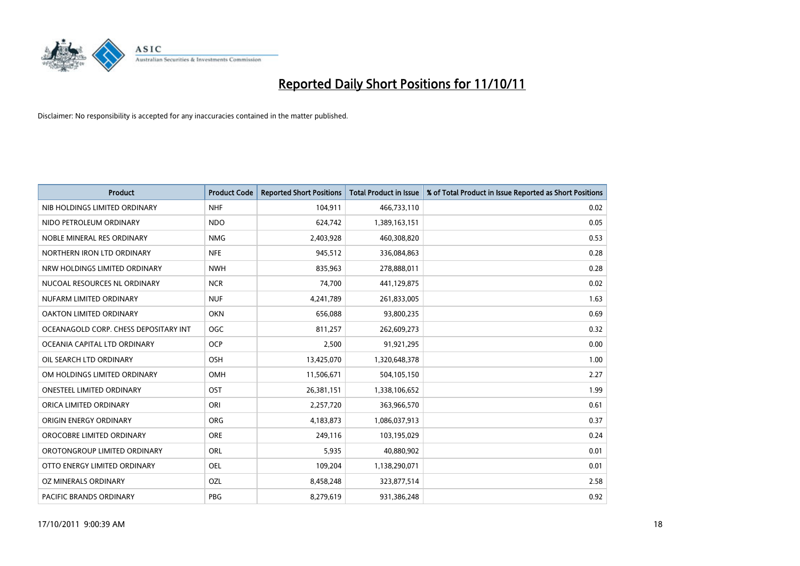

| <b>Product</b>                        | <b>Product Code</b> | <b>Reported Short Positions</b> | <b>Total Product in Issue</b> | % of Total Product in Issue Reported as Short Positions |
|---------------------------------------|---------------------|---------------------------------|-------------------------------|---------------------------------------------------------|
| NIB HOLDINGS LIMITED ORDINARY         | <b>NHF</b>          | 104,911                         | 466,733,110                   | 0.02                                                    |
| NIDO PETROLEUM ORDINARY               | <b>NDO</b>          | 624,742                         | 1,389,163,151                 | 0.05                                                    |
| NOBLE MINERAL RES ORDINARY            | <b>NMG</b>          | 2,403,928                       | 460,308,820                   | 0.53                                                    |
| NORTHERN IRON LTD ORDINARY            | <b>NFE</b>          | 945,512                         | 336,084,863                   | 0.28                                                    |
| NRW HOLDINGS LIMITED ORDINARY         | <b>NWH</b>          | 835,963                         | 278,888,011                   | 0.28                                                    |
| NUCOAL RESOURCES NL ORDINARY          | <b>NCR</b>          | 74,700                          | 441,129,875                   | 0.02                                                    |
| NUFARM LIMITED ORDINARY               | <b>NUF</b>          | 4,241,789                       | 261,833,005                   | 1.63                                                    |
| OAKTON LIMITED ORDINARY               | <b>OKN</b>          | 656,088                         | 93,800,235                    | 0.69                                                    |
| OCEANAGOLD CORP. CHESS DEPOSITARY INT | <b>OGC</b>          | 811,257                         | 262,609,273                   | 0.32                                                    |
| OCEANIA CAPITAL LTD ORDINARY          | <b>OCP</b>          | 2,500                           | 91,921,295                    | 0.00                                                    |
| OIL SEARCH LTD ORDINARY               | OSH                 | 13,425,070                      | 1,320,648,378                 | 1.00                                                    |
| OM HOLDINGS LIMITED ORDINARY          | OMH                 | 11,506,671                      | 504,105,150                   | 2.27                                                    |
| <b>ONESTEEL LIMITED ORDINARY</b>      | OST                 | 26,381,151                      | 1,338,106,652                 | 1.99                                                    |
| ORICA LIMITED ORDINARY                | ORI                 | 2,257,720                       | 363,966,570                   | 0.61                                                    |
| ORIGIN ENERGY ORDINARY                | <b>ORG</b>          | 4,183,873                       | 1,086,037,913                 | 0.37                                                    |
| OROCOBRE LIMITED ORDINARY             | <b>ORE</b>          | 249,116                         | 103,195,029                   | 0.24                                                    |
| OROTONGROUP LIMITED ORDINARY          | ORL                 | 5,935                           | 40,880,902                    | 0.01                                                    |
| OTTO ENERGY LIMITED ORDINARY          | <b>OEL</b>          | 109,204                         | 1,138,290,071                 | 0.01                                                    |
| OZ MINERALS ORDINARY                  | OZL                 | 8,458,248                       | 323,877,514                   | 2.58                                                    |
| <b>PACIFIC BRANDS ORDINARY</b>        | PBG                 | 8.279.619                       | 931,386,248                   | 0.92                                                    |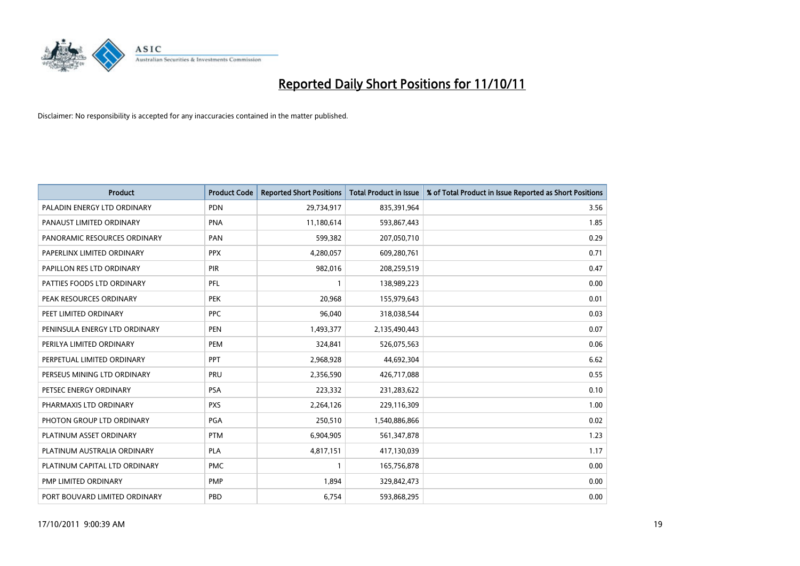

| <b>Product</b>                | <b>Product Code</b> | <b>Reported Short Positions</b> | <b>Total Product in Issue</b> | % of Total Product in Issue Reported as Short Positions |
|-------------------------------|---------------------|---------------------------------|-------------------------------|---------------------------------------------------------|
| PALADIN ENERGY LTD ORDINARY   | <b>PDN</b>          | 29,734,917                      | 835,391,964                   | 3.56                                                    |
| PANAUST LIMITED ORDINARY      | <b>PNA</b>          | 11,180,614                      | 593,867,443                   | 1.85                                                    |
| PANORAMIC RESOURCES ORDINARY  | PAN                 | 599,382                         | 207,050,710                   | 0.29                                                    |
| PAPERLINX LIMITED ORDINARY    | <b>PPX</b>          | 4,280,057                       | 609,280,761                   | 0.71                                                    |
| PAPILLON RES LTD ORDINARY     | PIR                 | 982,016                         | 208,259,519                   | 0.47                                                    |
| PATTIES FOODS LTD ORDINARY    | PFL                 |                                 | 138,989,223                   | 0.00                                                    |
| PEAK RESOURCES ORDINARY       | <b>PEK</b>          | 20,968                          | 155,979,643                   | 0.01                                                    |
| PEET LIMITED ORDINARY         | <b>PPC</b>          | 96,040                          | 318,038,544                   | 0.03                                                    |
| PENINSULA ENERGY LTD ORDINARY | <b>PEN</b>          | 1,493,377                       | 2,135,490,443                 | 0.07                                                    |
| PERILYA LIMITED ORDINARY      | PEM                 | 324,841                         | 526,075,563                   | 0.06                                                    |
| PERPETUAL LIMITED ORDINARY    | <b>PPT</b>          | 2,968,928                       | 44,692,304                    | 6.62                                                    |
| PERSEUS MINING LTD ORDINARY   | PRU                 | 2,356,590                       | 426,717,088                   | 0.55                                                    |
| PETSEC ENERGY ORDINARY        | <b>PSA</b>          | 223,332                         | 231,283,622                   | 0.10                                                    |
| PHARMAXIS LTD ORDINARY        | <b>PXS</b>          | 2,264,126                       | 229,116,309                   | 1.00                                                    |
| PHOTON GROUP LTD ORDINARY     | <b>PGA</b>          | 250,510                         | 1,540,886,866                 | 0.02                                                    |
| PLATINUM ASSET ORDINARY       | <b>PTM</b>          | 6,904,905                       | 561,347,878                   | 1.23                                                    |
| PLATINUM AUSTRALIA ORDINARY   | <b>PLA</b>          | 4,817,151                       | 417,130,039                   | 1.17                                                    |
| PLATINUM CAPITAL LTD ORDINARY | <b>PMC</b>          |                                 | 165,756,878                   | 0.00                                                    |
| PMP LIMITED ORDINARY          | <b>PMP</b>          | 1,894                           | 329,842,473                   | 0.00                                                    |
| PORT BOUVARD LIMITED ORDINARY | PBD                 | 6,754                           | 593,868,295                   | 0.00                                                    |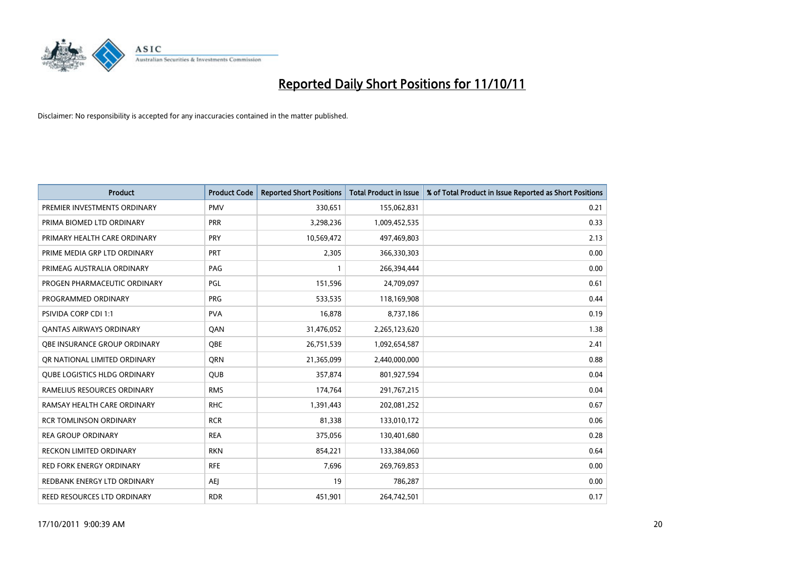

| <b>Product</b>                  | <b>Product Code</b> | <b>Reported Short Positions</b> | <b>Total Product in Issue</b> | % of Total Product in Issue Reported as Short Positions |
|---------------------------------|---------------------|---------------------------------|-------------------------------|---------------------------------------------------------|
| PREMIER INVESTMENTS ORDINARY    | <b>PMV</b>          | 330,651                         | 155,062,831                   | 0.21                                                    |
| PRIMA BIOMED LTD ORDINARY       | <b>PRR</b>          | 3,298,236                       | 1,009,452,535                 | 0.33                                                    |
| PRIMARY HEALTH CARE ORDINARY    | <b>PRY</b>          | 10,569,472                      | 497,469,803                   | 2.13                                                    |
| PRIME MEDIA GRP LTD ORDINARY    | <b>PRT</b>          | 2,305                           | 366,330,303                   | 0.00                                                    |
| PRIMEAG AUSTRALIA ORDINARY      | PAG                 |                                 | 266,394,444                   | 0.00                                                    |
| PROGEN PHARMACEUTIC ORDINARY    | PGL                 | 151,596                         | 24,709,097                    | 0.61                                                    |
| PROGRAMMED ORDINARY             | <b>PRG</b>          | 533,535                         | 118,169,908                   | 0.44                                                    |
| PSIVIDA CORP CDI 1:1            | <b>PVA</b>          | 16,878                          | 8,737,186                     | 0.19                                                    |
| <b>QANTAS AIRWAYS ORDINARY</b>  | QAN                 | 31,476,052                      | 2,265,123,620                 | 1.38                                                    |
| OBE INSURANCE GROUP ORDINARY    | <b>OBE</b>          | 26,751,539                      | 1,092,654,587                 | 2.41                                                    |
| OR NATIONAL LIMITED ORDINARY    | <b>ORN</b>          | 21,365,099                      | 2,440,000,000                 | 0.88                                                    |
| QUBE LOGISTICS HLDG ORDINARY    | <b>QUB</b>          | 357,874                         | 801,927,594                   | 0.04                                                    |
| RAMELIUS RESOURCES ORDINARY     | <b>RMS</b>          | 174,764                         | 291,767,215                   | 0.04                                                    |
| RAMSAY HEALTH CARE ORDINARY     | <b>RHC</b>          | 1,391,443                       | 202,081,252                   | 0.67                                                    |
| <b>RCR TOMLINSON ORDINARY</b>   | <b>RCR</b>          | 81,338                          | 133,010,172                   | 0.06                                                    |
| REA GROUP ORDINARY              | <b>REA</b>          | 375,056                         | 130,401,680                   | 0.28                                                    |
| RECKON LIMITED ORDINARY         | <b>RKN</b>          | 854,221                         | 133,384,060                   | 0.64                                                    |
| <b>RED FORK ENERGY ORDINARY</b> | <b>RFE</b>          | 7,696                           | 269,769,853                   | 0.00                                                    |
| REDBANK ENERGY LTD ORDINARY     | AEJ                 | 19                              | 786,287                       | 0.00                                                    |
| REED RESOURCES LTD ORDINARY     | <b>RDR</b>          | 451,901                         | 264,742,501                   | 0.17                                                    |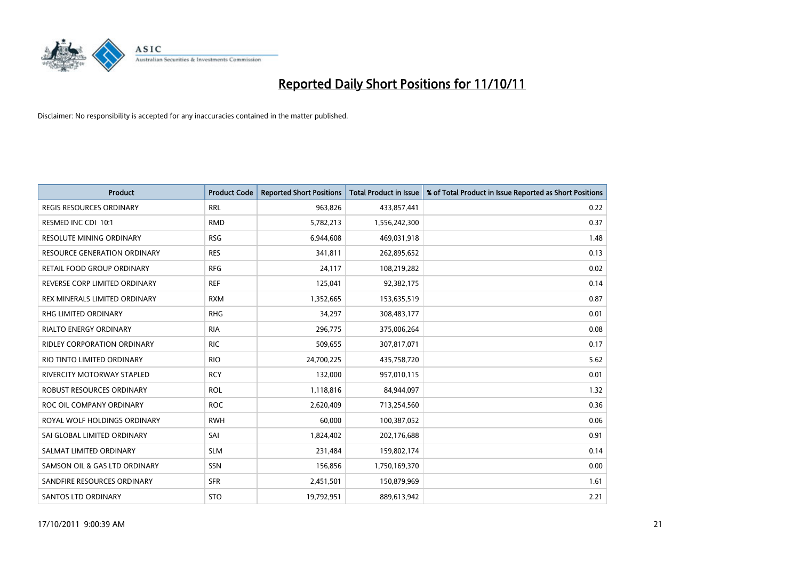

| <b>Product</b>                      | <b>Product Code</b> | <b>Reported Short Positions</b> | <b>Total Product in Issue</b> | % of Total Product in Issue Reported as Short Positions |
|-------------------------------------|---------------------|---------------------------------|-------------------------------|---------------------------------------------------------|
| <b>REGIS RESOURCES ORDINARY</b>     | <b>RRL</b>          | 963,826                         | 433,857,441                   | 0.22                                                    |
| RESMED INC CDI 10:1                 | <b>RMD</b>          | 5,782,213                       | 1,556,242,300                 | 0.37                                                    |
| <b>RESOLUTE MINING ORDINARY</b>     | <b>RSG</b>          | 6,944,608                       | 469,031,918                   | 1.48                                                    |
| <b>RESOURCE GENERATION ORDINARY</b> | <b>RES</b>          | 341,811                         | 262,895,652                   | 0.13                                                    |
| RETAIL FOOD GROUP ORDINARY          | <b>RFG</b>          | 24,117                          | 108,219,282                   | 0.02                                                    |
| REVERSE CORP LIMITED ORDINARY       | <b>REF</b>          | 125,041                         | 92,382,175                    | 0.14                                                    |
| REX MINERALS LIMITED ORDINARY       | <b>RXM</b>          | 1,352,665                       | 153,635,519                   | 0.87                                                    |
| RHG LIMITED ORDINARY                | <b>RHG</b>          | 34,297                          | 308,483,177                   | 0.01                                                    |
| <b>RIALTO ENERGY ORDINARY</b>       | <b>RIA</b>          | 296,775                         | 375,006,264                   | 0.08                                                    |
| <b>RIDLEY CORPORATION ORDINARY</b>  | <b>RIC</b>          | 509,655                         | 307,817,071                   | 0.17                                                    |
| RIO TINTO LIMITED ORDINARY          | <b>RIO</b>          | 24,700,225                      | 435,758,720                   | 5.62                                                    |
| <b>RIVERCITY MOTORWAY STAPLED</b>   | <b>RCY</b>          | 132,000                         | 957,010,115                   | 0.01                                                    |
| ROBUST RESOURCES ORDINARY           | <b>ROL</b>          | 1,118,816                       | 84,944,097                    | 1.32                                                    |
| ROC OIL COMPANY ORDINARY            | <b>ROC</b>          | 2,620,409                       | 713,254,560                   | 0.36                                                    |
| ROYAL WOLF HOLDINGS ORDINARY        | <b>RWH</b>          | 60,000                          | 100,387,052                   | 0.06                                                    |
| SAI GLOBAL LIMITED ORDINARY         | SAI                 | 1,824,402                       | 202,176,688                   | 0.91                                                    |
| SALMAT LIMITED ORDINARY             | <b>SLM</b>          | 231,484                         | 159,802,174                   | 0.14                                                    |
| SAMSON OIL & GAS LTD ORDINARY       | SSN                 | 156,856                         | 1,750,169,370                 | 0.00                                                    |
| SANDFIRE RESOURCES ORDINARY         | <b>SFR</b>          | 2,451,501                       | 150,879,969                   | 1.61                                                    |
| <b>SANTOS LTD ORDINARY</b>          | <b>STO</b>          | 19,792,951                      | 889,613,942                   | 2.21                                                    |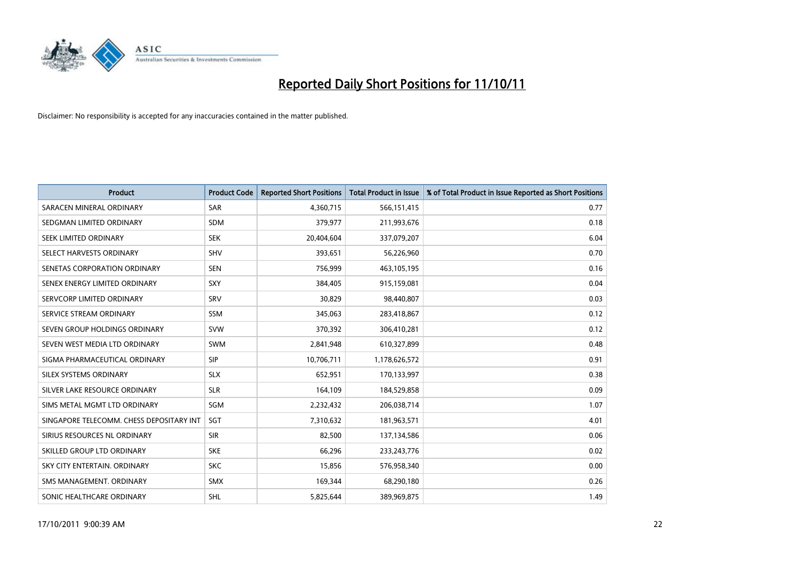

| <b>Product</b>                           | <b>Product Code</b> | <b>Reported Short Positions</b> | <b>Total Product in Issue</b> | % of Total Product in Issue Reported as Short Positions |
|------------------------------------------|---------------------|---------------------------------|-------------------------------|---------------------------------------------------------|
| SARACEN MINERAL ORDINARY                 | <b>SAR</b>          | 4,360,715                       | 566,151,415                   | 0.77                                                    |
| SEDGMAN LIMITED ORDINARY                 | <b>SDM</b>          | 379,977                         | 211,993,676                   | 0.18                                                    |
| SEEK LIMITED ORDINARY                    | <b>SEK</b>          | 20,404,604                      | 337,079,207                   | 6.04                                                    |
| SELECT HARVESTS ORDINARY                 | <b>SHV</b>          | 393,651                         | 56,226,960                    | 0.70                                                    |
| SENETAS CORPORATION ORDINARY             | <b>SEN</b>          | 756,999                         | 463,105,195                   | 0.16                                                    |
| SENEX ENERGY LIMITED ORDINARY            | SXY                 | 384,405                         | 915,159,081                   | 0.04                                                    |
| SERVCORP LIMITED ORDINARY                | <b>SRV</b>          | 30,829                          | 98,440,807                    | 0.03                                                    |
| SERVICE STREAM ORDINARY                  | <b>SSM</b>          | 345,063                         | 283,418,867                   | 0.12                                                    |
| SEVEN GROUP HOLDINGS ORDINARY            | <b>SVW</b>          | 370,392                         | 306,410,281                   | 0.12                                                    |
| SEVEN WEST MEDIA LTD ORDINARY            | <b>SWM</b>          | 2,841,948                       | 610,327,899                   | 0.48                                                    |
| SIGMA PHARMACEUTICAL ORDINARY            | <b>SIP</b>          | 10,706,711                      | 1,178,626,572                 | 0.91                                                    |
| <b>SILEX SYSTEMS ORDINARY</b>            | <b>SLX</b>          | 652,951                         | 170,133,997                   | 0.38                                                    |
| SILVER LAKE RESOURCE ORDINARY            | <b>SLR</b>          | 164,109                         | 184,529,858                   | 0.09                                                    |
| SIMS METAL MGMT LTD ORDINARY             | SGM                 | 2,232,432                       | 206,038,714                   | 1.07                                                    |
| SINGAPORE TELECOMM. CHESS DEPOSITARY INT | SGT                 | 7,310,632                       | 181,963,571                   | 4.01                                                    |
| SIRIUS RESOURCES NL ORDINARY             | <b>SIR</b>          | 82,500                          | 137,134,586                   | 0.06                                                    |
| SKILLED GROUP LTD ORDINARY               | <b>SKE</b>          | 66,296                          | 233, 243, 776                 | 0.02                                                    |
| SKY CITY ENTERTAIN. ORDINARY             | <b>SKC</b>          | 15,856                          | 576,958,340                   | 0.00                                                    |
| SMS MANAGEMENT, ORDINARY                 | <b>SMX</b>          | 169,344                         | 68,290,180                    | 0.26                                                    |
| SONIC HEALTHCARE ORDINARY                | <b>SHL</b>          | 5,825,644                       | 389,969,875                   | 1.49                                                    |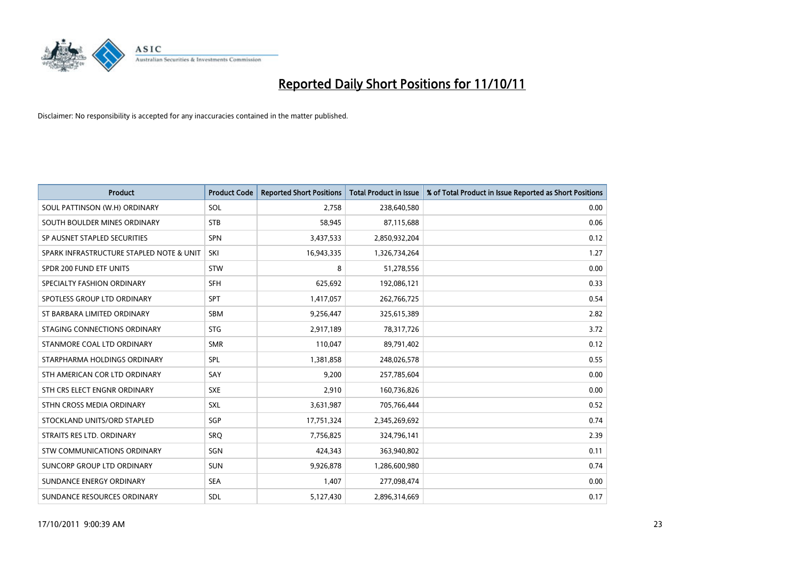

| <b>Product</b>                           | <b>Product Code</b> | <b>Reported Short Positions</b> | <b>Total Product in Issue</b> | % of Total Product in Issue Reported as Short Positions |
|------------------------------------------|---------------------|---------------------------------|-------------------------------|---------------------------------------------------------|
| SOUL PATTINSON (W.H) ORDINARY            | SOL                 | 2,758                           | 238,640,580                   | 0.00                                                    |
| SOUTH BOULDER MINES ORDINARY             | <b>STB</b>          | 58,945                          | 87,115,688                    | 0.06                                                    |
| SP AUSNET STAPLED SECURITIES             | <b>SPN</b>          | 3,437,533                       | 2,850,932,204                 | 0.12                                                    |
| SPARK INFRASTRUCTURE STAPLED NOTE & UNIT | SKI                 | 16,943,335                      | 1,326,734,264                 | 1.27                                                    |
| SPDR 200 FUND ETF UNITS                  | <b>STW</b>          | 8                               | 51,278,556                    | 0.00                                                    |
| SPECIALTY FASHION ORDINARY               | <b>SFH</b>          | 625,692                         | 192,086,121                   | 0.33                                                    |
| SPOTLESS GROUP LTD ORDINARY              | <b>SPT</b>          | 1,417,057                       | 262,766,725                   | 0.54                                                    |
| ST BARBARA LIMITED ORDINARY              | <b>SBM</b>          | 9,256,447                       | 325,615,389                   | 2.82                                                    |
| STAGING CONNECTIONS ORDINARY             | <b>STG</b>          | 2,917,189                       | 78,317,726                    | 3.72                                                    |
| STANMORE COAL LTD ORDINARY               | <b>SMR</b>          | 110,047                         | 89,791,402                    | 0.12                                                    |
| STARPHARMA HOLDINGS ORDINARY             | SPL                 | 1,381,858                       | 248,026,578                   | 0.55                                                    |
| STH AMERICAN COR LTD ORDINARY            | SAY                 | 9,200                           | 257,785,604                   | 0.00                                                    |
| STH CRS ELECT ENGNR ORDINARY             | <b>SXE</b>          | 2,910                           | 160,736,826                   | 0.00                                                    |
| STHN CROSS MEDIA ORDINARY                | <b>SXL</b>          | 3,631,987                       | 705,766,444                   | 0.52                                                    |
| STOCKLAND UNITS/ORD STAPLED              | SGP                 | 17,751,324                      | 2,345,269,692                 | 0.74                                                    |
| STRAITS RES LTD. ORDINARY                | <b>SRO</b>          | 7,756,825                       | 324,796,141                   | 2.39                                                    |
| STW COMMUNICATIONS ORDINARY              | SGN                 | 424,343                         | 363,940,802                   | 0.11                                                    |
| SUNCORP GROUP LTD ORDINARY               | <b>SUN</b>          | 9,926,878                       | 1,286,600,980                 | 0.74                                                    |
| SUNDANCE ENERGY ORDINARY                 | <b>SEA</b>          | 1,407                           | 277,098,474                   | 0.00                                                    |
| SUNDANCE RESOURCES ORDINARY              | <b>SDL</b>          | 5,127,430                       | 2,896,314,669                 | 0.17                                                    |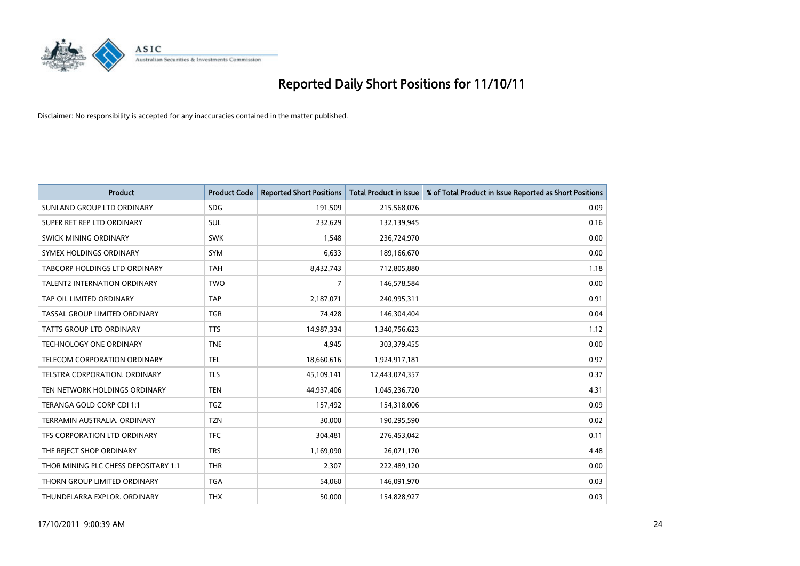

| <b>Product</b>                       | <b>Product Code</b> | <b>Reported Short Positions</b> | <b>Total Product in Issue</b> | % of Total Product in Issue Reported as Short Positions |
|--------------------------------------|---------------------|---------------------------------|-------------------------------|---------------------------------------------------------|
| SUNLAND GROUP LTD ORDINARY           | <b>SDG</b>          | 191,509                         | 215,568,076                   | 0.09                                                    |
| SUPER RET REP LTD ORDINARY           | <b>SUL</b>          | 232,629                         | 132,139,945                   | 0.16                                                    |
| <b>SWICK MINING ORDINARY</b>         | <b>SWK</b>          | 1,548                           | 236,724,970                   | 0.00                                                    |
| SYMEX HOLDINGS ORDINARY              | <b>SYM</b>          | 6,633                           | 189,166,670                   | 0.00                                                    |
| <b>TABCORP HOLDINGS LTD ORDINARY</b> | <b>TAH</b>          | 8,432,743                       | 712,805,880                   | 1.18                                                    |
| <b>TALENT2 INTERNATION ORDINARY</b>  | <b>TWO</b>          | 7                               | 146,578,584                   | 0.00                                                    |
| TAP OIL LIMITED ORDINARY             | <b>TAP</b>          | 2,187,071                       | 240,995,311                   | 0.91                                                    |
| TASSAL GROUP LIMITED ORDINARY        | <b>TGR</b>          | 74,428                          | 146,304,404                   | 0.04                                                    |
| <b>TATTS GROUP LTD ORDINARY</b>      | <b>TTS</b>          | 14,987,334                      | 1,340,756,623                 | 1.12                                                    |
| <b>TECHNOLOGY ONE ORDINARY</b>       | <b>TNE</b>          | 4,945                           | 303,379,455                   | 0.00                                                    |
| TELECOM CORPORATION ORDINARY         | <b>TEL</b>          | 18,660,616                      | 1,924,917,181                 | 0.97                                                    |
| <b>TELSTRA CORPORATION, ORDINARY</b> | <b>TLS</b>          | 45,109,141                      | 12,443,074,357                | 0.37                                                    |
| TEN NETWORK HOLDINGS ORDINARY        | <b>TEN</b>          | 44,937,406                      | 1,045,236,720                 | 4.31                                                    |
| TERANGA GOLD CORP CDI 1:1            | <b>TGZ</b>          | 157,492                         | 154,318,006                   | 0.09                                                    |
| TERRAMIN AUSTRALIA, ORDINARY         | <b>TZN</b>          | 30,000                          | 190,295,590                   | 0.02                                                    |
| TFS CORPORATION LTD ORDINARY         | <b>TFC</b>          | 304,481                         | 276,453,042                   | 0.11                                                    |
| THE REJECT SHOP ORDINARY             | <b>TRS</b>          | 1,169,090                       | 26,071,170                    | 4.48                                                    |
| THOR MINING PLC CHESS DEPOSITARY 1:1 | <b>THR</b>          | 2,307                           | 222,489,120                   | 0.00                                                    |
| THORN GROUP LIMITED ORDINARY         | <b>TGA</b>          | 54,060                          | 146,091,970                   | 0.03                                                    |
| THUNDELARRA EXPLOR. ORDINARY         | <b>THX</b>          | 50,000                          | 154,828,927                   | 0.03                                                    |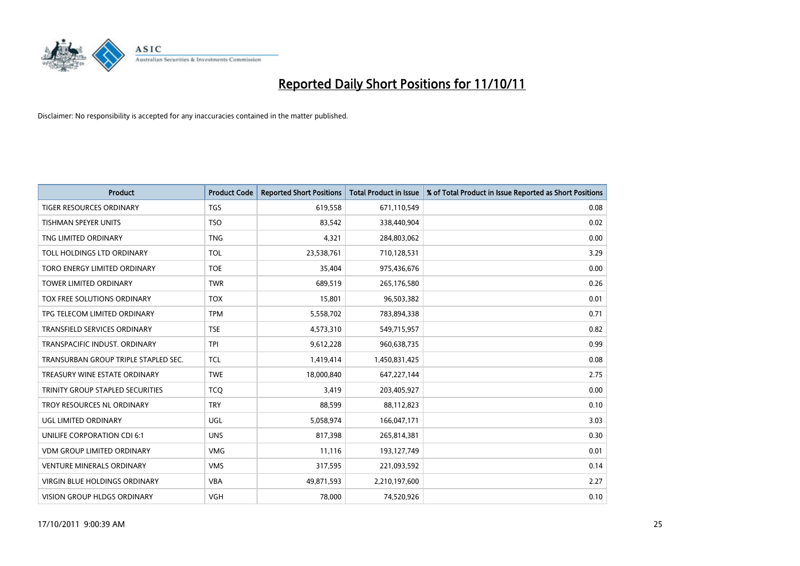

| <b>Product</b>                       | <b>Product Code</b> | <b>Reported Short Positions</b> | <b>Total Product in Issue</b> | % of Total Product in Issue Reported as Short Positions |
|--------------------------------------|---------------------|---------------------------------|-------------------------------|---------------------------------------------------------|
| <b>TIGER RESOURCES ORDINARY</b>      | <b>TGS</b>          | 619,558                         | 671,110,549                   | 0.08                                                    |
| TISHMAN SPEYER UNITS                 | <b>TSO</b>          | 83,542                          | 338,440,904                   | 0.02                                                    |
| TNG LIMITED ORDINARY                 | <b>TNG</b>          | 4,321                           | 284,803,062                   | 0.00                                                    |
| TOLL HOLDINGS LTD ORDINARY           | <b>TOL</b>          | 23,538,761                      | 710,128,531                   | 3.29                                                    |
| <b>TORO ENERGY LIMITED ORDINARY</b>  | <b>TOE</b>          | 35,404                          | 975,436,676                   | 0.00                                                    |
| <b>TOWER LIMITED ORDINARY</b>        | <b>TWR</b>          | 689,519                         | 265,176,580                   | 0.26                                                    |
| TOX FREE SOLUTIONS ORDINARY          | <b>TOX</b>          | 15,801                          | 96,503,382                    | 0.01                                                    |
| TPG TELECOM LIMITED ORDINARY         | <b>TPM</b>          | 5,558,702                       | 783,894,338                   | 0.71                                                    |
| TRANSFIELD SERVICES ORDINARY         | <b>TSE</b>          | 4,573,310                       | 549,715,957                   | 0.82                                                    |
| TRANSPACIFIC INDUST, ORDINARY        | <b>TPI</b>          | 9,612,228                       | 960,638,735                   | 0.99                                                    |
| TRANSURBAN GROUP TRIPLE STAPLED SEC. | <b>TCL</b>          | 1,419,414                       | 1,450,831,425                 | 0.08                                                    |
| TREASURY WINE ESTATE ORDINARY        | <b>TWE</b>          | 18,000,840                      | 647,227,144                   | 2.75                                                    |
| TRINITY GROUP STAPLED SECURITIES     | <b>TCO</b>          | 3,419                           | 203,405,927                   | 0.00                                                    |
| <b>TROY RESOURCES NL ORDINARY</b>    | <b>TRY</b>          | 88,599                          | 88,112,823                    | 0.10                                                    |
| UGL LIMITED ORDINARY                 | <b>UGL</b>          | 5,058,974                       | 166,047,171                   | 3.03                                                    |
| UNILIFE CORPORATION CDI 6:1          | <b>UNS</b>          | 817,398                         | 265,814,381                   | 0.30                                                    |
| <b>VDM GROUP LIMITED ORDINARY</b>    | <b>VMG</b>          | 11,116                          | 193,127,749                   | 0.01                                                    |
| <b>VENTURE MINERALS ORDINARY</b>     | <b>VMS</b>          | 317,595                         | 221,093,592                   | 0.14                                                    |
| <b>VIRGIN BLUE HOLDINGS ORDINARY</b> | <b>VBA</b>          | 49,871,593                      | 2,210,197,600                 | 2.27                                                    |
| VISION GROUP HLDGS ORDINARY          | <b>VGH</b>          | 78,000                          | 74,520,926                    | 0.10                                                    |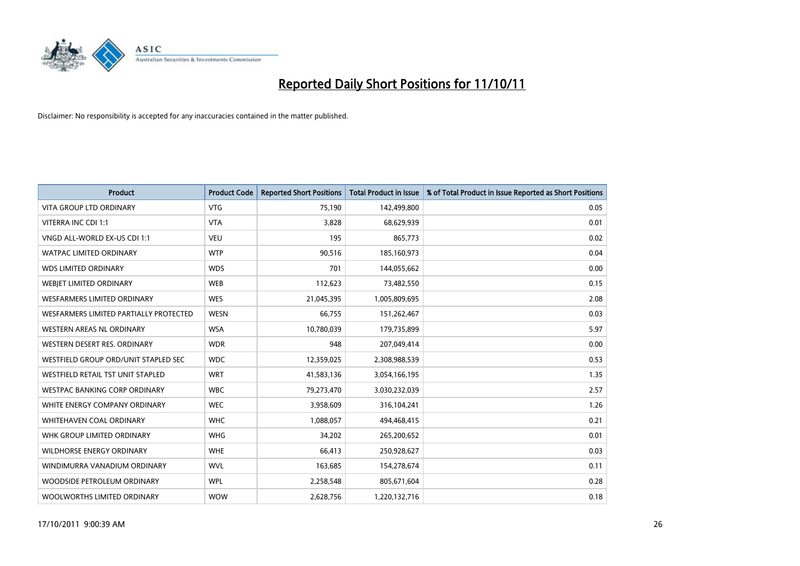

| <b>Product</b>                         | <b>Product Code</b> | <b>Reported Short Positions</b> | <b>Total Product in Issue</b> | % of Total Product in Issue Reported as Short Positions |
|----------------------------------------|---------------------|---------------------------------|-------------------------------|---------------------------------------------------------|
| <b>VITA GROUP LTD ORDINARY</b>         | <b>VTG</b>          | 75,190                          | 142,499,800                   | 0.05                                                    |
| VITERRA INC CDI 1:1                    | <b>VTA</b>          | 3,828                           | 68,629,939                    | 0.01                                                    |
| VNGD ALL-WORLD EX-US CDI 1:1           | <b>VEU</b>          | 195                             | 865,773                       | 0.02                                                    |
| WATPAC LIMITED ORDINARY                | <b>WTP</b>          | 90,516                          | 185,160,973                   | 0.04                                                    |
| <b>WDS LIMITED ORDINARY</b>            | <b>WDS</b>          | 701                             | 144,055,662                   | 0.00                                                    |
| WEBIET LIMITED ORDINARY                | <b>WEB</b>          | 112,623                         | 73,482,550                    | 0.15                                                    |
| <b>WESFARMERS LIMITED ORDINARY</b>     | <b>WES</b>          | 21,045,395                      | 1,005,809,695                 | 2.08                                                    |
| WESFARMERS LIMITED PARTIALLY PROTECTED | <b>WESN</b>         | 66,755                          | 151,262,467                   | 0.03                                                    |
| <b>WESTERN AREAS NL ORDINARY</b>       | <b>WSA</b>          | 10,780,039                      | 179,735,899                   | 5.97                                                    |
| WESTERN DESERT RES. ORDINARY           | <b>WDR</b>          | 948                             | 207,049,414                   | 0.00                                                    |
| WESTFIELD GROUP ORD/UNIT STAPLED SEC   | <b>WDC</b>          | 12,359,025                      | 2,308,988,539                 | 0.53                                                    |
| WESTFIELD RETAIL TST UNIT STAPLED      | <b>WRT</b>          | 41,583,136                      | 3,054,166,195                 | 1.35                                                    |
| WESTPAC BANKING CORP ORDINARY          | <b>WBC</b>          | 79,273,470                      | 3,030,232,039                 | 2.57                                                    |
| WHITE ENERGY COMPANY ORDINARY          | <b>WEC</b>          | 3,958,609                       | 316,104,241                   | 1.26                                                    |
| <b>WHITEHAVEN COAL ORDINARY</b>        | <b>WHC</b>          | 1,088,057                       | 494,468,415                   | 0.21                                                    |
| WHK GROUP LIMITED ORDINARY             | <b>WHG</b>          | 34,202                          | 265,200,652                   | 0.01                                                    |
| WILDHORSE ENERGY ORDINARY              | <b>WHE</b>          | 66,413                          | 250,928,627                   | 0.03                                                    |
| WINDIMURRA VANADIUM ORDINARY           | <b>WVL</b>          | 163,685                         | 154,278,674                   | 0.11                                                    |
| WOODSIDE PETROLEUM ORDINARY            | <b>WPL</b>          | 2,258,548                       | 805,671,604                   | 0.28                                                    |
| WOOLWORTHS LIMITED ORDINARY            | <b>WOW</b>          | 2,628,756                       | 1,220,132,716                 | 0.18                                                    |